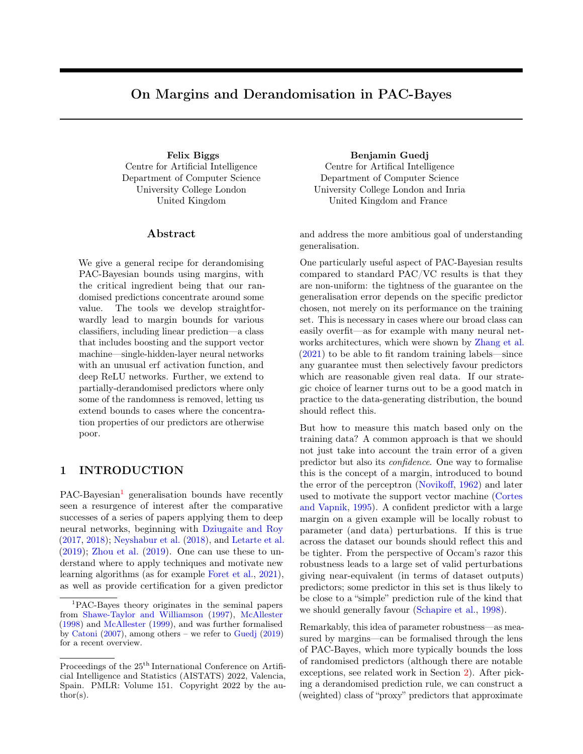# On Margins and Derandomisation in PAC-Bayes

Centre for Artificial Intelligence Department of Computer Science University College London United Kingdom

### ${\rm Abstract}$

We give a general recipe for derandomising PAC-Bayesian bounds using margins, with the critical ingredient being that our randomised predictions concentrate around some value. The tools we develop straightforwardly lead to margin bounds for various classifiers, including linear prediction—a class that includes boosting and the support vector machine—single-hidden-layer neural networks with an unusual erf activation function, and deep ReLU networks. Further, we extend to partially-derandomised predictors where only some of the randomness is removed, letting us extend bounds to cases where the concentration properties of our predictors are otherwise poor.

# 1 INTRODUCTION

 $PAC-Bayesian<sup>1</sup>$  $PAC-Bayesian<sup>1</sup>$  $PAC-Bayesian<sup>1</sup>$  generalisation bounds have recently seen a resurgence of interest after the comparative successes of a series of papers applying them to deep neural networks, beginning with [Dziugaite and Roy](#page-9-0) [\(2017,](#page-9-0) [2018\)](#page-9-1); [Neyshabur et al.](#page-11-0) [\(2018\)](#page-11-0), and [Letarte et al.](#page-10-0)  $(2019)$ ; [Zhou et al.](#page-11-1)  $(2019)$ . One can use these to understand where to apply techniques and motivate new learning algorithms (as for example [Foret et al.,](#page-10-1) [2021\)](#page-10-1), as well as provide certification for a given predictor

Felix Biggs Benjamin Guedj Centre for Artifical Intelligence Department of Computer Science University College London and Inria United Kingdom and France

> and address the more ambitious goal of understanding generalisation.

> One particularly useful aspect of PAC-Bayesian results compared to standard PAC/VC results is that they are non-uniform: the tightness of the guarantee on the generalisation error depends on the specific predictor chosen, not merely on its performance on the training set. This is necessary in cases where our broad class can easily overfit—as for example with many neural networks architectures, which were shown by [Zhang et al.](#page-11-5)  $(2021)$  to be able to fit random training labels—since any guarantee must then selectively favour predictors which are reasonable given real data. If our strategic choice of learner turns out to be a good match in practice to the data-generating distribution, the bound should reflect this.

> But how to measure this match based only on the training data? A common approach is that we should not just take into account the train error of a given predictor but also its confidence. One way to formalise this is the concept of a margin, introduced to bound the error of the perceptron [\(Novikoff,](#page-11-6) [1962\)](#page-11-6) and later used to motivate the support vector machine [\(Cortes](#page-9-3) [and Vapnik,](#page-9-3) [1995\)](#page-9-3). A confident predictor with a large margin on a given example will be locally robust to parameter (and data) perturbations. If this is true across the dataset our bounds should reflect this and be tighter. From the perspective of Occam's razor this robustness leads to a large set of valid perturbations giving near-equivalent (in terms of dataset outputs) predictors; some predictor in this set is thus likely to be close to a "simple" prediction rule of the kind that we should generally favour [\(Schapire et al.,](#page-11-7) [1998\)](#page-11-7).

> Remarkably, this idea of parameter robustness—as measured by margins—can be formalised through the lens of PAC-Bayes, which more typically bounds the loss of randomised predictors (although there are notable exceptions, see related work in Section [2\)](#page-1-0). After picking a derandomised prediction rule, we can construct a (weighted) class of "proxy" predictors that approximate

<span id="page-0-0"></span><sup>1</sup>PAC-Bayes theory originates in the seminal papers from [Shawe-Taylor and Williamson](#page-11-2) [\(1997\)](#page-11-2), [McAllester](#page-11-3) [\(1998\)](#page-11-3) and [McAllester](#page-11-4) [\(1999\)](#page-11-4), and was further formalised by [Catoni](#page-9-2) [\(2007\)](#page-9-2), among others – we refer to [Guedj](#page-10-2) [\(2019\)](#page-10-2) for a recent overview.

Proceedings of the  $25<sup>th</sup>$  International Conference on Artificial Intelligence and Statistics (AISTATS) 2022, Valencia, Spain. PMLR: Volume 151. Copyright 2022 by the author(s).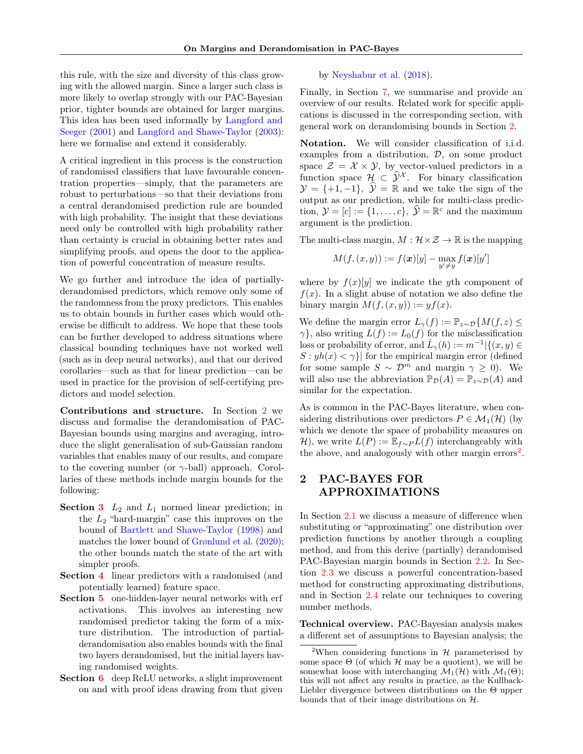this rule, with the size and diversity of this class growing with the allowed margin. Since a larger such class is more likely to overlap strongly with our PAC-Bayesian prior, tighter bounds are obtained for larger margins. This idea has been used informally by [Langford and](#page-10-3) [Seeger](#page-10-3) [\(2001\)](#page-10-3) and [Langford and Shawe-Taylor](#page-10-4) [\(2003\)](#page-10-4): here we formalise and extend it considerably.

A critical ingredient in this process is the construction of randomised classifiers that have favourable concentration properties—simply, that the parameters are robust to perturbations—so that their deviations from a central derandomised prediction rule are bounded with high probability. The insight that these deviations need only be controlled with high probability rather than certainty is crucial in obtaining better rates and simplifying proofs, and opens the door to the application of powerful concentration of measure results.

We go further and introduce the idea of partiallyderandomised predictors, which remove only some of the randomness from the proxy predictors. This enables us to obtain bounds in further cases which would otherwise be difficult to address. We hope that these tools can be further developed to address situations where classical bounding techniques have not worked well (such as in deep neural networks), and that our derived corollaries—such as that for linear prediction—can be used in practice for the provision of self-certifying predictors and model selection.

Contributions and structure. In Section [2](#page-1-0) we discuss and formalise the derandomisation of PAC-Bayesian bounds using margins and averaging, introduce the slight generalisation of sub-Gaussian random variables that enables many of our results, and compare to the covering number (or  $\gamma$ -ball) approach. Corollaries of these methods include margin bounds for the following:

- **Section [3](#page-4-0)**  $L_2$  and  $L_1$  normed linear prediction; in the  $L_2$  "hard-margin" case this improves on the bound of [Bartlett and Shawe-Taylor](#page-9-4) [\(1998\)](#page-9-4) and matches the lower bound of [Grønlund et al.](#page-10-5) [\(2020\)](#page-10-5); the other bounds match the state of the art with simpler proofs.
- Section [4](#page-5-0) linear predictors with a randomised (and potentially learned) feature space.
- Section [5](#page-6-0) one-hidden-layer neural networks with erf activations. This involves an interesting new randomised predictor taking the form of a mixture distribution. The introduction of partialderandomisation also enables bounds with the final two layers derandomised, but the initial layers having randomised weights.
- Section [6](#page-8-0) deep ReLU networks, a slight improvement on and with proof ideas drawing from that given

by [Neyshabur et al.](#page-11-0) [\(2018\)](#page-11-0).

Finally, in Section [7,](#page-8-1) we summarise and provide an overview of our results. Related work for specific applications is discussed in the corresponding section, with general work on derandomising bounds in Section [2.](#page-1-0)

Notation. We will consider classification of i.i.d. examples from a distribution, D, on some product space  $\mathcal{Z} = \mathcal{X} \times \mathcal{Y}$ , by vector-valued predictors in a function space  $\mathcal{H} \subset \hat{\mathcal{Y}}^{\mathcal{X}}$ . For binary classification  $\mathcal{Y} = \{+1, -1\}, \ \hat{\mathcal{Y}} = \mathbb{R}$  and we take the sign of the output as our prediction, while for multi-class prediction,  $\mathcal{Y} = [c] := \{1, \ldots, c\}, \ \hat{\mathcal{Y}} = \mathbb{R}^c$  and the maximum argument is the prediction.

The multi-class margin,  $M : \mathcal{H} \times \mathcal{Z} \rightarrow \mathbb{R}$  is the mapping

$$
M(f,(x,y)):=f(\boldsymbol{x})[y]-\max_{y'\neq y}f(\boldsymbol{x})[y']
$$

where by  $f(x)[y]$  we indicate the yth component of  $f(x)$ . In a slight abuse of notation we also define the binary margin  $M(f,(x,y)) := yf(x)$ .

We define the margin error  $L_{\gamma}(f) := \mathbb{P}_{z \sim \mathcal{D}}\{M(f,z) \leq$  $\gamma$ , also writing  $L(f) := L_0(f)$  for the misclassification loss or probability of error, and  $\hat{L}_{\gamma}(h) := m^{-1}|\{(x, y) \in$  $S: yh(x) < \gamma$ } for the empirical margin error (defined for some sample  $S \sim \mathcal{D}^m$  and margin  $\gamma > 0$ ). We will also use the abbreviation  $\mathbb{P}_{\mathcal{D}}(A) = \mathbb{P}_{z \sim \mathcal{D}}(A)$  and similar for the expectation.

As is common in the PAC-Bayes literature, when considering distributions over predictors  $P \in \mathcal{M}_1(\mathcal{H})$  (by which we denote the space of probability measures on H), we write  $L(P) := \mathbb{E}_{f \sim P} L(f)$  interchangeably with the above, and analogously with other margin errors<sup>[2](#page-1-1)</sup>.

# <span id="page-1-0"></span>2 PAC-BAYES FOR APPROXIMATIONS

In Section [2.1](#page-2-0) we discuss a measure of difference when substituting or "approximating" one distribution over prediction functions by another through a coupling method, and from this derive (partially) derandomised PAC-Bayesian margin bounds in Section [2.2.](#page-2-1) In Section [2.3](#page-3-0) we discuss a powerful concentration-based method for constructing approximating distributions, and in Section [2.4](#page-4-1) relate our techniques to covering number methods.

Technical overview. PAC-Bayesian analysis makes a different set of assumptions to Bayesian analysis; the

<span id="page-1-1"></span><sup>&</sup>lt;sup>2</sup>When considering functions in  $H$  parameterised by some space  $\Theta$  (of which  $\mathcal H$  may be a quotient), we will be somewhat loose with interchanging  $\mathcal{M}_1(\mathcal{H})$  with  $\mathcal{M}_1(\Theta)$ ; this will not affect any results in practice, as the Kullback-Liebler divergence between distributions on the Θ upper bounds that of their image distributions on H.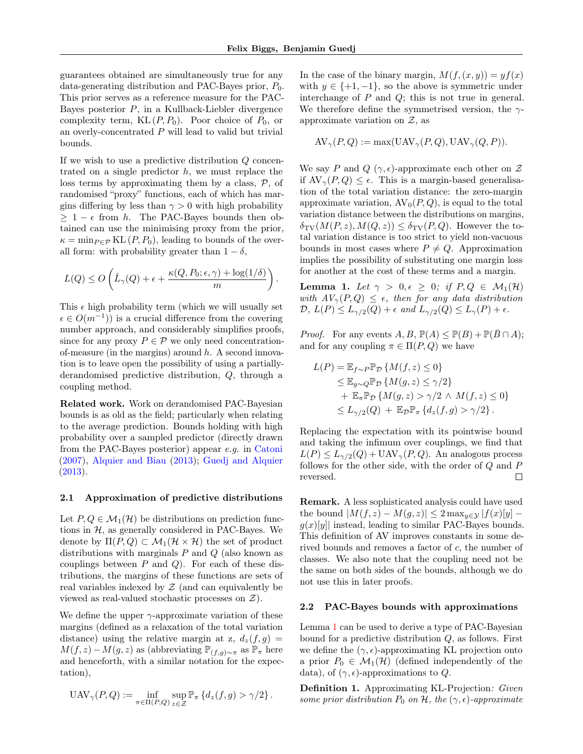.

guarantees obtained are simultaneously true for any data-generating distribution and PAC-Bayes prior,  $P_0$ . This prior serves as a reference measure for the PAC-Bayes posterior  $P$ , in a Kullback-Liebler divergence complexity term,  $KL(P, P_0)$ . Poor choice of  $P_0$ , or an overly-concentrated P will lead to valid but trivial bounds.

If we wish to use a predictive distribution Q concentrated on a single predictor  $h$ , we must replace the loss terms by approximating them by a class,  $P$ , of randomised "proxy" functions, each of which has margins differing by less than  $\gamma > 0$  with high probability  $\geq 1 - \epsilon$  from h. The PAC-Bayes bounds then obtained can use the minimising proxy from the prior,  $\kappa = \min_{P \in \mathcal{P}} \mathrm{KL}(P, P_0)$ , leading to bounds of the overall form: with probability greater than  $1 - \delta$ ,

$$
L(Q) \leq O\left(\hat{L}_{\gamma}(Q) + \epsilon + \frac{\kappa(Q, P_0; \epsilon, \gamma) + \log(1/\delta)}{m}\right)
$$

This  $\epsilon$  high probability term (which we will usually set  $\epsilon \in O(m^{-1})$  is a crucial difference from the covering number approach, and considerably simplifies proofs, since for any proxy  $P \in \mathcal{P}$  we only need concentrationof-measure (in the margins) around  $h$ . A second innovation is to leave open the possibility of using a partiallyderandomised predictive distribution, Q, through a coupling method.

Related work. Work on derandomised PAC-Bayesian bounds is as old as the field; particularly when relating to the average prediction. Bounds holding with high probability over a sampled predictor (directly drawn from the PAC-Bayes posterior) appear e.g. in [Catoni](#page-9-2) [\(2007\)](#page-9-2), [Alquier and Biau](#page-9-5) [\(2013\)](#page-9-5); [Guedj and Alquier](#page-10-6) [\(2013\)](#page-10-6).

### <span id="page-2-0"></span>2.1 Approximation of predictive distributions

Let  $P, Q \in \mathcal{M}_1(\mathcal{H})$  be distributions on prediction functions in  $H$ , as generally considered in PAC-Bayes. We denote by  $\Pi(P,Q) \subset \mathcal{M}_1(\mathcal{H} \times \mathcal{H})$  the set of product distributions with marginals  $P$  and  $Q$  (also known as couplings between  $P$  and  $Q$ ). For each of these distributions, the margins of these functions are sets of real variables indexed by  $\mathcal Z$  (and can equivalently be viewed as real-valued stochastic processes on  $\mathcal{Z}$ ).

We define the upper  $\gamma$ -approximate variation of these margins (defined as a relaxation of the total variation distance) using the relative margin at z,  $d_z(f,g)$  =  $M(f, z) - M(g, z)$  as (abbreviating  $\mathbb{P}_{(f,g)\sim \pi}$  as  $\mathbb{P}_{\pi}$  here and henceforth, with a similar notation for the expectation),

$$
UAV_{\gamma}(P,Q) := \inf_{\pi \in \Pi(P,Q)} \sup_{z \in \mathcal{Z}} \mathbb{P}_{\pi} \left\{ d_z(f,g) > \gamma/2 \right\}.
$$

In the case of the binary margin,  $M(f,(x, y)) = yf(x)$ with  $y \in \{+1, -1\}$ , so the above is symmetric under interchange of  $P$  and  $Q$ ; this is not true in general. We therefore define the symmetrised version, the  $\gamma$ approximate variation on  $Z$ , as

$$
AV_{\gamma}(P,Q) := \max( UAV_{\gamma}(P,Q), UAV_{\gamma}(Q,P)).
$$

We say P and Q  $(\gamma, \epsilon)$ -approximate each other on Z if  $AV_{\gamma}(P,Q) \leq \epsilon$ . This is a margin-based generalisation of the total variation distance: the zero-margin approximate variation,  $AV_0(P,Q)$ , is equal to the total variation distance between the distributions on margins,  $\delta_{\rm TV}(M(P,z), M(Q,z)) \leq \delta_{\rm TV}(P,Q)$ . However the total variation distance is too strict to yield non-vacuous bounds in most cases where  $P \neq Q$ . Approximation implies the possibility of substituting one margin loss for another at the cost of these terms and a margin.

<span id="page-2-2"></span>**Lemma 1.** Let  $\gamma > 0, \epsilon \geq 0$ ; if  $P, Q \in \mathcal{M}_1(\mathcal{H})$ with  $AV_{\gamma}(P,Q) \leq \epsilon$ , then for any data distribution  $\mathcal{D}, L(P) \leq L_{\gamma/2}(Q) + \epsilon$  and  $L_{\gamma/2}(Q) \leq L_{\gamma}(P) + \epsilon$ .

*Proof.* For any events  $A, B, \mathbb{P}(A) \leq \mathbb{P}(B) + \mathbb{P}(\overline{B} \cap A);$ and for any coupling  $\pi \in \Pi(P,Q)$  we have

$$
L(P) = \mathbb{E}_{f \sim P} \mathbb{P}_{\mathcal{D}} \{ M(f, z) \le 0 \}
$$
  
\n
$$
\le \mathbb{E}_{g \sim Q} \mathbb{P}_{\mathcal{D}} \{ M(g, z) \le \gamma/2 \}
$$
  
\n
$$
+ \mathbb{E}_{\pi} \mathbb{P}_{\mathcal{D}} \{ M(g, z) > \gamma/2 \land M(f, z) \le 0 \}
$$
  
\n
$$
\le L_{\gamma/2}(Q) + \mathbb{E}_{\mathcal{D}} \mathbb{P}_{\pi} \{ d_z(f, g) > \gamma/2 \}.
$$

Replacing the expectation with its pointwise bound and taking the infimum over couplings, we find that  $L(P) \leq L_{\gamma/2}(Q) + \text{UAV}_{\gamma}(P,Q)$ . An analogous process follows for the other side, with the order of  $Q$  and  $P$ reversed.  $\Box$ 

Remark. A less sophisticated analysis could have used the bound  $|M(f, z) - M(g, z)| \leq 2 \max_{y \in \mathcal{Y}} |f(x)[y]$  $g(x)[y]$  instead, leading to similar PAC-Bayes bounds. This definition of AV improves constants in some derived bounds and removes a factor of c, the number of classes. We also note that the coupling need not be the same on both sides of the bounds, although we do not use this in later proofs.

### <span id="page-2-1"></span>2.2 PAC-Bayes bounds with approximations

Lemma [1](#page-2-2) can be used to derive a type of PAC-Bayesian bound for a predictive distribution  $Q$ , as follows. First we define the  $(\gamma, \epsilon)$ -approximating KL projection onto a prior  $P_0 \in \mathcal{M}_1(\mathcal{H})$  (defined independently of the data), of  $(\gamma, \epsilon)$ -approximations to Q.

<span id="page-2-3"></span>Definition 1. Approximating KL-Projection: Given some prior distribution  $P_0$  on  $H$ , the  $(\gamma, \epsilon)$ -approximate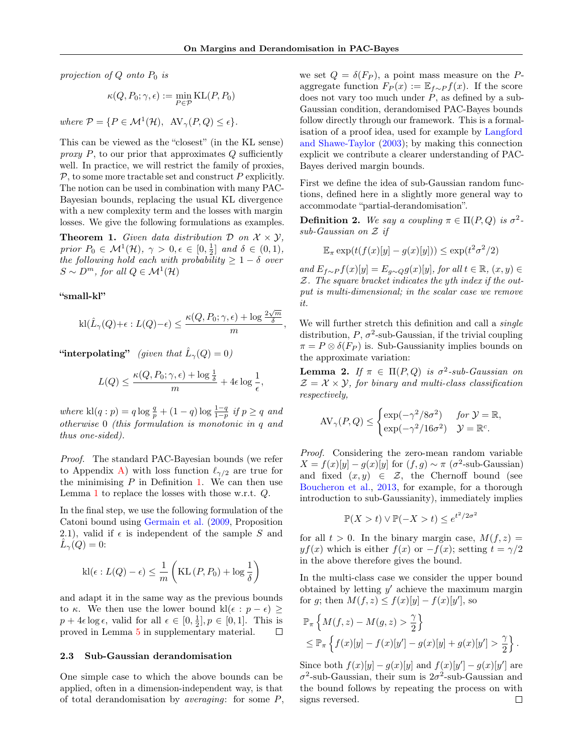,

projection of  $Q$  onto  $P_0$  is

$$
\kappa(Q, P_0; \gamma, \epsilon) := \min_{P \in \mathcal{P}} \mathrm{KL}(P, P_0)
$$

where  $\mathcal{P} = \{ P \in \mathcal{M}^1(\mathcal{H}), \ \text{AV}_{\gamma}(P,Q) \leq \epsilon \}.$ 

This can be viewed as the "closest" (in the KL sense) proxy  $P$ , to our prior that approximates  $Q$  sufficiently well. In practice, we will restrict the family of proxies,  $P$ , to some more tractable set and construct  $P$  explicitly. The notion can be used in combination with many PAC-Bayesian bounds, replacing the usual KL divergence with a new complexity term and the losses with margin losses. We give the following formulations as examples.

<span id="page-3-2"></span>**Theorem 1.** Given data distribution  $\mathcal{D}$  on  $\mathcal{X} \times \mathcal{Y}$ , prior  $P_0 \in \mathcal{M}^1(\mathcal{H}), \ \gamma > 0, \epsilon \in [0, \frac{1}{2}] \text{ and } \delta \in (0, 1),$ the following hold each with probability  $\geq 1 - \delta$  over  $S \sim D^m$ , for all  $Q \in \mathcal{M}^1(\mathcal{H})$ 

#### "small-kl"

$$
\textnormal{kl}(\hat{L}_\gamma(Q)+\epsilon:L(Q)-\epsilon)\leq \frac{\kappa(Q,P_0;\gamma,\epsilon)+\log\frac{2\sqrt{m}}{\delta}}{m}
$$

"interpolating" (given that  $\hat{L}_{\gamma}(Q) = 0$ )

$$
L(Q) \le \frac{\kappa(Q, P_0; \gamma, \epsilon) + \log \frac{1}{\delta}}{m} + 4\epsilon \log \frac{1}{\epsilon},
$$

where  $\text{kl}(q:p) = q \log \frac{q}{p} + (1-q) \log \frac{1-q}{1-p}$  if  $p \ge q$  and otherwise 0 (this formulation is monotonic in q and thus one-sided).

Proof. The standard PAC-Bayesian bounds (we refer to Appendix [A\)](#page-12-0) with loss function  $\ell_{\gamma/2}$  are true for the minimising  $P$  in Definition [1.](#page-2-3) We can then use Lemma [1](#page-2-2) to replace the losses with those w.r.t. Q.

In the final step, we use the following formulation of the Catoni bound using [Germain et al.](#page-10-7) [\(2009,](#page-10-7) Proposition 2.1), valid if  $\epsilon$  is independent of the sample S and  $\hat{L}_{\gamma}(Q)=0$ :

$$
kl(\epsilon: L(Q) - \epsilon) \le \frac{1}{m} \left( KL(P, P_0) + log \frac{1}{\delta} \right)
$$

and adapt it in the same way as the previous bounds to  $\kappa$ . We then use the lower bound kl( $\epsilon : p - \epsilon$ ) ≥  $p + 4\epsilon \log \epsilon$ , valid for all  $\epsilon \in [0, \frac{1}{2}], p \in [0, 1]$ . This is proved in Lemma [5](#page-12-1) in supplementary material.  $\Box$ 

#### <span id="page-3-0"></span>2.3 Sub-Gaussian derandomisation

One simple case to which the above bounds can be applied, often in a dimension-independent way, is that of total derandomisation by *averaging*: for some  $P$ , we set  $Q = \delta(F_P)$ , a point mass measure on the Paggregate function  $F_P(x) := \mathbb{E}_{f \sim P} f(x)$ . If the score does not vary too much under  $P$ , as defined by a sub-Gaussian condition, derandomised PAC-Bayes bounds follow directly through our framework. This is a formalisation of a proof idea, used for example by [Langford](#page-10-4) [and Shawe-Taylor](#page-10-4) [\(2003\)](#page-10-4); by making this connection explicit we contribute a clearer understanding of PAC-Bayes derived margin bounds.

First we define the idea of sub-Gaussian random functions, defined here in a slightly more general way to accommodate "partial-derandomisation".

**Definition 2.** We say a coupling  $\pi \in \Pi(P,Q)$  is  $\sigma^2$ sub-Gaussian on Z if

$$
\mathbb{E}_{\pi} \exp(t(f(x)[y] - g(x)[y])) \le \exp(t^2 \sigma^2/2)
$$

and  $E_{f\sim P}f(x)[y] = E_{q\sim Q}g(x)[y]$ , for all  $t \in \mathbb{R}$ ,  $(x, y) \in$ Z. The square bracket indicates the yth index if the output is multi-dimensional; in the scalar case we remove it.

We will further stretch this definition and call a *single* distribution,  $P$ ,  $\sigma^2$ -sub-Gaussian, if the trivial coupling  $\pi = P \otimes \delta(F_P)$  is. Sub-Gaussianity implies bounds on the approximate variation:

<span id="page-3-1"></span>**Lemma 2.** If  $\pi \in \Pi(P,Q)$  is  $\sigma^2$ -sub-Gaussian on  $\mathcal{Z} = \mathcal{X} \times \mathcal{Y}$ , for binary and multi-class classification respectively,

$$
AV_{\gamma}(P,Q) \leq \begin{cases} \exp(-\gamma^2/8\sigma^2) & \text{for } \mathcal{Y} = \mathbb{R}, \\ \exp(-\gamma^2/16\sigma^2) & \mathcal{Y} = \mathbb{R}^c. \end{cases}
$$

Proof. Considering the zero-mean random variable  $X = f(x)[y] - g(x)[y]$  for  $(f, g) \sim \pi (\sigma^2$ -sub-Gaussian) and fixed  $(x, y) \in \mathcal{Z}$ , the Chernoff bound (see [Boucheron et al.,](#page-9-6) [2013,](#page-9-6) for example, for a thorough introduction to sub-Gaussianity), immediately implies

$$
\mathbb{P}(X > t) \lor \mathbb{P}(-X > t) \le e^{t^2/2\sigma^2}
$$

for all  $t > 0$ . In the binary margin case,  $M(f, z) =$  $yf(x)$  which is either  $f(x)$  or  $-f(x)$ ; setting  $t = \gamma/2$ in the above therefore gives the bound.

In the multi-class case we consider the upper bound obtained by letting  $y'$  achieve the maximum margin for g; then  $M(f, z) \leq f(x)[y] - f(x)[y']$ , so

$$
\mathbb{P}_{\pi}\left\{M(f,z)-M(g,z)>\frac{\gamma}{2}\right\}
$$
  
\$\leq \mathbb{P}\_{\pi}\left\{f(x)[y]-f(x)[y']-g(x)[y]+g(x)[y']>\frac{\gamma}{2}\right\}\$.

Since both  $f(x)[y] - g(x)[y]$  and  $f(x)[y'] - g(x)[y']$  are  $\sigma^2$ -sub-Gaussian, their sum is  $2\sigma^2$ -sub-Gaussian and the bound follows by repeating the process on with signs reversed. $\Box$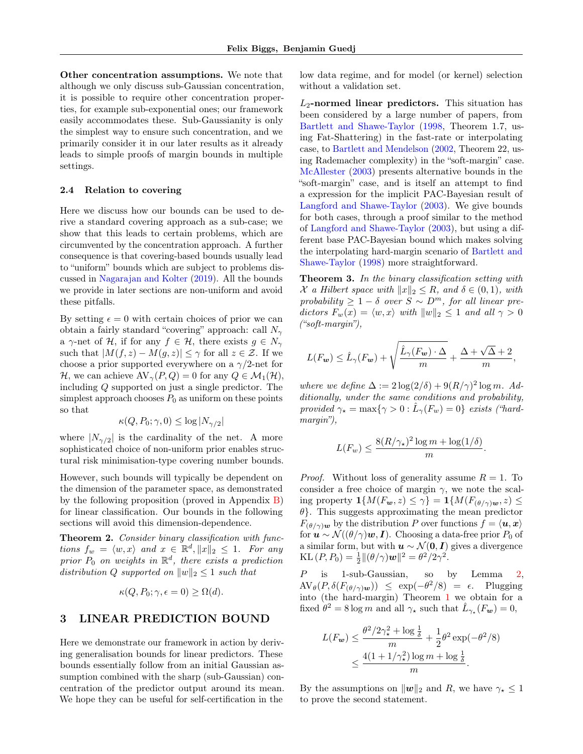Other concentration assumptions. We note that although we only discuss sub-Gaussian concentration, it is possible to require other concentration properties, for example sub-exponential ones; our framework easily accommodates these. Sub-Gaussianity is only the simplest way to ensure such concentration, and we primarily consider it in our later results as it already leads to simple proofs of margin bounds in multiple settings.

#### <span id="page-4-1"></span>2.4 Relation to covering

Here we discuss how our bounds can be used to derive a standard covering approach as a sub-case; we show that this leads to certain problems, which are circumvented by the concentration approach. A further consequence is that covering-based bounds usually lead to "uniform" bounds which are subject to problems discussed in [Nagarajan and Kolter](#page-11-8) [\(2019\)](#page-11-8). All the bounds we provide in later sections are non-uniform and avoid these pitfalls.

By setting  $\epsilon = 0$  with certain choices of prior we can obtain a fairly standard "covering" approach: call  $N_{\gamma}$ a  $\gamma$ -net of H, if for any  $f \in \mathcal{H}$ , there exists  $g \in N_{\gamma}$ such that  $|M(f, z) - M(g, z)| \leq \gamma$  for all  $z \in \mathcal{Z}$ . If we choose a prior supported everywhere on a  $\gamma/2$ -net for H, we can achieve  $AV_{\gamma}(P,Q) = 0$  for any  $Q \in \mathcal{M}_1(\mathcal{H}),$ including Q supported on just a single predictor. The simplest approach chooses  $P_0$  as uniform on these points so that

$$
\kappa(Q, P_0; \gamma, 0) \le \log |N_{\gamma/2}|
$$

where  $|N_{\gamma/2}|$  is the cardinality of the net. A more sophisticated choice of non-uniform prior enables structural risk minimisation-type covering number bounds.

However, such bounds will typically be dependent on the dimension of the parameter space, as demonstrated by the following proposition (proved in Appendix [B\)](#page-12-2) for linear classification. Our bounds in the following sections will avoid this dimension-dependence.

<span id="page-4-3"></span>Theorem 2. Consider binary classification with functions  $f_w = \langle w, x \rangle$  and  $x \in \mathbb{R}^d, ||x||_2 \leq 1$ . For any prior  $P_0$  on weights in  $\mathbb{R}^d$ , there exists a prediction distribution Q supported on  $||w||_2 \leq 1$  such that

$$
\kappa(Q, P_0; \gamma, \epsilon = 0) \ge \Omega(d).
$$

### <span id="page-4-0"></span>3 LINEAR PREDICTION BOUND

Here we demonstrate our framework in action by deriving generalisation bounds for linear predictors. These bounds essentially follow from an initial Gaussian assumption combined with the sharp (sub-Gaussian) concentration of the predictor output around its mean. We hope they can be useful for self-certification in the

low data regime, and for model (or kernel) selection without a validation set.

 $L_2$ -normed linear predictors. This situation has been considered by a large number of papers, from [Bartlett and Shawe-Taylor](#page-9-4) [\(1998,](#page-9-4) Theorem 1.7, using Fat-Shattering) in the fast-rate or interpolating case, to [Bartlett and Mendelson](#page-9-7) [\(2002,](#page-9-7) Theorem 22, using Rademacher complexity) in the "soft-margin" case. [McAllester](#page-11-9) [\(2003\)](#page-11-9) presents alternative bounds in the "soft-margin" case, and is itself an attempt to find a expression for the implicit PAC-Bayesian result of [Langford and Shawe-Taylor](#page-10-4) [\(2003\)](#page-10-4). We give bounds for both cases, through a proof similar to the method of [Langford and Shawe-Taylor](#page-10-4) [\(2003\)](#page-10-4), but using a different base PAC-Bayesian bound which makes solving the interpolating hard-margin scenario of [Bartlett and](#page-9-4) [Shawe-Taylor](#page-9-4) [\(1998\)](#page-9-4) more straightforward.

<span id="page-4-2"></span>Theorem 3. In the binary classification setting with X a Hilbert space with  $||x||_2 \leq R$ , and  $\delta \in (0,1)$ , with probability  $\geq 1 - \delta$  over  $S \sim D^m$ , for all linear predictors  $F_w(x) = \langle w, x \rangle$  with  $||w||_2 \leq 1$  and all  $\gamma > 0$ ("soft-margin"),

$$
L(F_{\mathbf{w}}) \leq \hat{L}_{\gamma}(F_{\mathbf{w}}) + \sqrt{\frac{\hat{L}_{\gamma}(F_{\mathbf{w}}) \cdot \Delta}{m}} + \frac{\Delta + \sqrt{\Delta} + 2}{m},
$$

where we define  $\Delta := 2 \log(2/\delta) + 9(R/\gamma)^2 \log m$ . Additionally, under the same conditions and probability, provided  $\gamma_{\star} = \max\{\gamma > 0 : \hat{L}_{\gamma}(F_w) = 0\}$  exists ("hardmargin"),

$$
L(F_w) \le \frac{8(R/\gamma_*)^2 \log m + \log(1/\delta)}{m}.
$$

*Proof.* Without loss of generality assume  $R = 1$ . To consider a free choice of margin  $\gamma$ , we note the scaling property  $\mathbf{1}{M(F_{\mathbf{w}}, z) \leq \gamma} = \mathbf{1}{M(F_{(\theta/\gamma)\mathbf{w}}, z) \leq \gamma}$  $\theta$ . This suggests approximating the mean predictor  $F_{(\theta/\gamma)\mathbf{w}}$  by the distribution P over functions  $f = \langle \mathbf{u}, \mathbf{x} \rangle$ for  $u \sim \mathcal{N}((\theta/\gamma)w, I)$ . Choosing a data-free prior  $P_0$  of a similar form, but with  $u \sim \mathcal{N}(0, I)$  gives a divergence KL  $(P, P_0) = \frac{1}{2} ||(\theta/\gamma)\mathbf{w}||^2 = \theta^2/2\gamma^2$ .

P is 1-sub-Gaussian, so by Lemma [2,](#page-3-1)  $\text{AV}_{\theta}(P, \delta(F_{(\theta/\gamma)\mathbf{w}})) \leq \exp(-\theta^2/8) = \epsilon$ . Plugging into (the hard-margin) Theorem [1](#page-3-2) we obtain for a fixed  $\hat{\theta}^2 = 8 \log m$  and all  $\gamma_{\star}$  such that  $\hat{L}_{\gamma_{\star}}(F_{\boldsymbol{w}}) = 0$ ,

$$
L(F_w) \le \frac{\theta^2/2\gamma_\star^2 + \log\frac{1}{\delta}}{m} + \frac{1}{2}\theta^2 \exp(-\theta^2/8)
$$
  

$$
\le \frac{4(1 + 1/\gamma_\star^2)\log m + \log\frac{1}{\delta}}{m}.
$$

By the assumptions on  $||w||_2$  and R, we have  $\gamma_{\star} \leq 1$ to prove the second statement.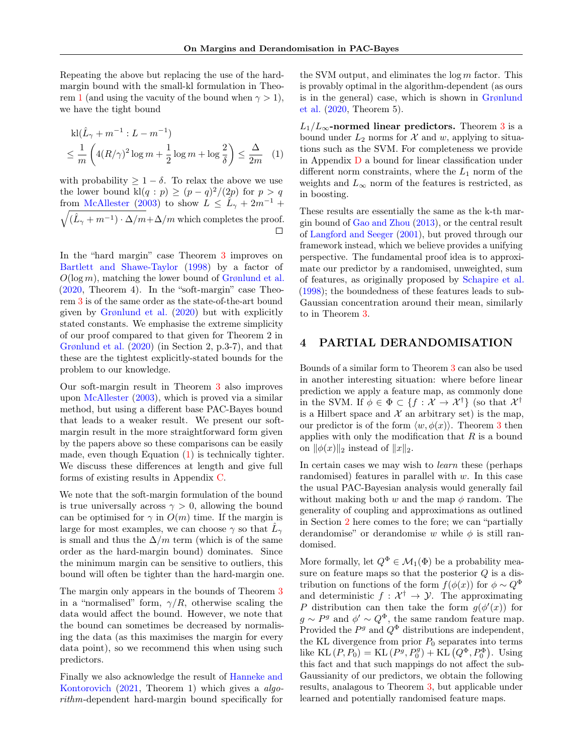Repeating the above but replacing the use of the hardmargin bound with the small-kl formulation in Theo-rem [1](#page-3-2) (and using the vacuity of the bound when  $\gamma > 1$ ), we have the tight bound

$$
kl(\hat{L}_{\gamma} + m^{-1} : L - m^{-1})
$$
  

$$
\leq \frac{1}{m} \left( 4(R/\gamma)^2 \log m + \frac{1}{2} \log m + \log \frac{2}{\delta} \right) \leq \frac{\Delta}{2m} \quad (1)
$$

with probability  $\geq 1 - \delta$ . To relax the above we use the lower bound  $\text{kl}(q:p) \ge (p-q)^2/(2p)$  for  $p > q$ from [McAllester](#page-11-9) [\(2003\)](#page-11-9) to show  $L \leq L_{\gamma} + 2m^{-1} +$  $\sqrt{(\hat{L}_{\gamma}+m^{-1})\cdot\Delta/m}+\Delta/m$  which completes the proof.

In the "hard margin" case Theorem [3](#page-4-2) improves on [Bartlett and Shawe-Taylor](#page-9-4) [\(1998\)](#page-9-4) by a factor of  $O(\log m)$ , matching the lower bound of [Grønlund et al.](#page-10-5) [\(2020,](#page-10-5) Theorem 4). In the "soft-margin" case Theorem [3](#page-4-2) is of the same order as the state-of-the-art bound given by [Grønlund et al.](#page-10-5) [\(2020\)](#page-10-5) but with explicitly stated constants. We emphasise the extreme simplicity of our proof compared to that given for Theorem 2 in [Grønlund et al.](#page-10-5) [\(2020\)](#page-10-5) (in Section 2, p.3-7), and that these are the tightest explicitly-stated bounds for the problem to our knowledge.

Our soft-margin result in Theorem [3](#page-4-2) also improves upon [McAllester](#page-11-9) [\(2003\)](#page-11-9), which is proved via a similar method, but using a different base PAC-Bayes bound that leads to a weaker result. We present our softmargin result in the more straightforward form given by the papers above so these comparisons can be easily made, even though Equation [\(1\)](#page-5-1) is technically tighter. We discuss these differences at length and give full forms of existing results in Appendix [C.](#page-13-0)

We note that the soft-margin formulation of the bound is true universally across  $\gamma > 0$ , allowing the bound can be optimised for  $\gamma$  in  $O(m)$  time. If the margin is large for most examples, we can choose  $\gamma$  so that  $\hat{L}_{\gamma}$ is small and thus the  $\Delta/m$  term (which is of the same order as the hard-margin bound) dominates. Since the minimum margin can be sensitive to outliers, this bound will often be tighter than the hard-margin one.

The margin only appears in the bounds of Theorem [3](#page-4-2) in a "normalised" form,  $\gamma/R$ , otherwise scaling the data would affect the bound. However, we note that the bound can sometimes be decreased by normalising the data (as this maximises the margin for every data point), so we recommend this when using such predictors.

Finally we also acknowledge the result of [Hanneke and](#page-10-8) [Kontorovich](#page-10-8) [\(2021,](#page-10-8) Theorem 1) which gives a algorithm-dependent hard-margin bound specifically for

the SVM output, and eliminates the  $\log m$  factor. This is provably optimal in the algorithm-dependent (as ours is in the general) case, which is shown in [Grønlund](#page-10-5) [et al.](#page-10-5) [\(2020,](#page-10-5) Theorem 5).

<span id="page-5-1"></span> $L_1/L_{\infty}$ -normed linear predictors. Theorem [3](#page-4-2) is a bound under  $L_2$  norms for X and w, applying to situations such as the SVM. For completeness we provide in Appendix [D](#page-14-0) a bound for linear classification under different norm constraints, where the  $L_1$  norm of the weights and  $L_{\infty}$  norm of the features is restricted, as in boosting.

These results are essentially the same as the k-th margin bound of [Gao and Zhou](#page-10-9) [\(2013\)](#page-10-9), or the central result of [Langford and Seeger](#page-10-3) [\(2001\)](#page-10-3), but proved through our framework instead, which we believe provides a unifying perspective. The fundamental proof idea is to approximate our predictor by a randomised, unweighted, sum of features, as originally proposed by [Schapire et al.](#page-11-7) [\(1998\)](#page-11-7); the boundedness of these features leads to sub-Gaussian concentration around their mean, similarly to in Theorem [3.](#page-4-2)

### <span id="page-5-0"></span>4 PARTIAL DERANDOMISATION

Bounds of a similar form to Theorem [3](#page-4-2) can also be used in another interesting situation: where before linear prediction we apply a feature map, as commonly done in the SVM. If  $\phi \in \Phi \subset \{f : \mathcal{X} \to \mathcal{X}^{\dagger}\}\$  (so that  $\mathcal{X}^{\dagger}$ is a Hilbert space and  $X$  an arbitrary set) is the map, our predictor is of the form  $\langle w, \phi(x) \rangle$ . Theorem [3](#page-4-2) then applies with only the modification that  $R$  is a bound on  $\|\phi(x)\|_2$  instead of  $\|x\|_2$ .

In certain cases we may wish to learn these (perhaps randomised) features in parallel with w. In this case the usual PAC-Bayesian analysis would generally fail without making both w and the map  $\phi$  random. The generality of coupling and approximations as outlined in Section [2](#page-1-0) here comes to the fore; we can "partially derandomise" or derandomise w while  $\phi$  is still randomised.

<span id="page-5-2"></span>More formally, let  $Q^{\Phi} \in \mathcal{M}_1(\Phi)$  be a probability measure on feature maps so that the posterior  $Q$  is a distribution on functions of the form  $f(\phi(x))$  for  $\phi \sim Q^{\Phi}$ and deterministic  $f: \mathcal{X}^{\dagger} \to \mathcal{Y}$ . The approximating P distribution can then take the form  $g(\phi'(x))$  for  $g \sim P^g$  and  $\phi' \sim Q^{\Phi}$ , the same random feature map. Provided the  $P<sup>g</sup>$  and  $Q<sup>\Phi</sup>$  distributions are independent, the KL divergence from prior  $P_0$  separates into terms like KL  $(P, P_0) =$ KL  $(P^g, P_0^g) +$ KL  $(Q^{\Phi}, P_0^{\Phi})$ . Using this fact and that such mappings do not affect the sub-Gaussianity of our predictors, we obtain the following results, analagous to Theorem [3,](#page-4-2) but applicable under learned and potentially randomised feature maps.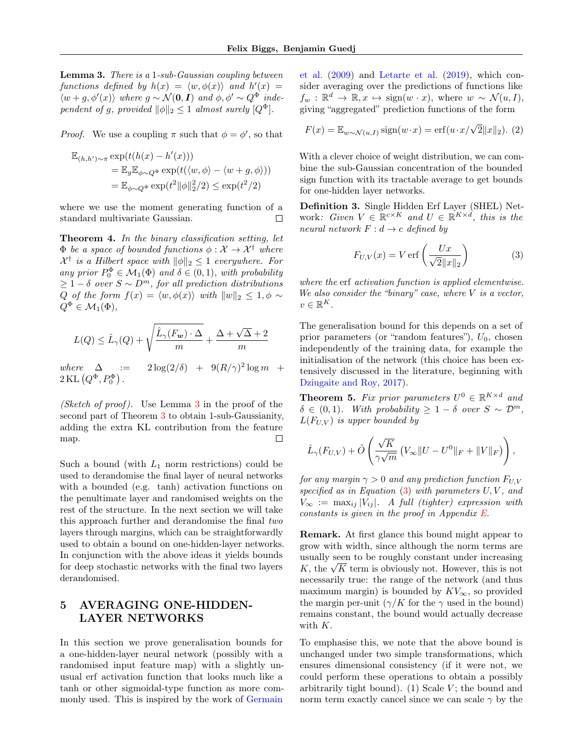Lemma 3. There is a 1-sub-Gaussian coupling between functions defined by  $h(x) = \langle w, \phi(x) \rangle$  and  $h'(x) =$  $\langle w+g, \phi'(x) \rangle$  where  $g \sim \mathcal{N}(\mathbf{0}, \mathbf{I})$  and  $\phi, \phi' \sim Q^{\Phi}$  independent of g, provided  $||\phi||_2 \leq 1$  almost surely  $[Q^{\Phi}]$ .

*Proof.* We use a coupling  $\pi$  such that  $\phi = \phi'$ , so that

$$
\mathbb{E}_{(h,h')\sim\pi} \exp(t(h(x) - h'(x)))
$$
  
= 
$$
\mathbb{E}_g \mathbb{E}_{\phi\sim Q^{\Phi}} \exp(t(\langle w, \phi \rangle - \langle w + g, \phi \rangle))
$$
  
= 
$$
\mathbb{E}_{\phi\sim Q^{\Phi}} \exp(t^2 \|\phi\|_2^2/2) \le \exp(t^2/2)
$$

where we use the moment generating function of a standard multivariate Gaussian.  $\Box$ 

Theorem 4. In the binary classification setting, let  $\Phi$  be a space of bounded functions  $\phi: \mathcal{X} \to \mathcal{X}^{\dagger}$  where  $\mathcal{X}^{\dagger}$  is a Hilbert space with  $\|\phi\|_2 \leq 1$  everywhere. For any prior  $P_0^{\Phi} \in \mathcal{M}_1(\Phi)$  and  $\delta \in (0,1)$ , with probability  $\geq 1-\delta$  over  $S \sim D^m$ , for all prediction distributions Q of the form  $f(x) = \langle w, \phi(x) \rangle$  with  $||w||_2 \leq 1, \phi \sim$  $Q^{\Phi} \in \mathcal{M}_1(\Phi)$ ,

$$
L(Q) \leq \hat{L}_{\gamma}(Q) + \sqrt{\frac{\hat{L}_{\gamma}(F_w) \cdot \Delta}{m}} + \frac{\Delta + \sqrt{\Delta} + 2}{m}
$$

where  $\Delta$  :=  $2\log(2/\delta) + 9(R/\gamma)^2 \log m$  +  $2\,\text{KL}\left(Q^\Phi, P_0^\Phi\right)$  .

(Sketch of proof). Use Lemma  $3$  in the proof of the second part of Theorem [3](#page-4-2) to obtain 1-sub-Gaussianity, adding the extra KL contribution from the feature map.  $\Box$ 

Such a bound (with  $L_1$  norm restrictions) could be used to derandomise the final layer of neural networks with a bounded (e.g. tanh) activation functions on the penultimate layer and randomised weights on the rest of the structure. In the next section we will take this approach further and derandomise the final two layers through margins, which can be straightforwardly used to obtain a bound on one-hidden-layer networks. In conjunction with the above ideas it yields bounds for deep stochastic networks with the final two layers derandomised.

# <span id="page-6-0"></span>5 AVERAGING ONE-HIDDEN-LAYER NETWORKS

In this section we prove generalisation bounds for a one-hidden-layer neural network (possibly with a randomised input feature map) with a slightly unusual erf activation function that looks much like a tanh or other sigmoidal-type function as more com-monly used. This is inspired by the work of [Germain](#page-10-7) [et al.](#page-10-7) [\(2009\)](#page-10-7) and [Letarte et al.](#page-10-0) [\(2019\)](#page-10-0), which consider averaging over the predictions of functions like  $f_w : \mathbb{R}^d \to \mathbb{R}, x \mapsto \text{sign}(w \cdot x)$ , where  $w \sim \mathcal{N}(u, I)$ , giving "aggregated" prediction functions of the form

<span id="page-6-2"></span>
$$
F(x) = \mathbb{E}_{w \sim \mathcal{N}(u, I)} \operatorname{sign}(w \cdot x) = \operatorname{erf}(u \cdot x / \sqrt{2} ||x||_2). (2)
$$

With a clever choice of weight distribution, we can combine the sub-Gaussian concentration of the bounded sign function with its tractable average to get bounds for one-hidden layer networks.

Definition 3. Single Hidden Erf Layer (SHEL) Network: Given  $V \in \mathbb{R}^{c \times K}$  and  $U \in \mathbb{R}^{K \times d}$ , this is the neural network  $F : d \rightarrow c$  defined by

<span id="page-6-1"></span>
$$
F_{U,V}(x) = V \operatorname{erf}\left(\frac{Ux}{\sqrt{2}||x||_2}\right) \tag{3}
$$

where the erf activation function is applied elementwise. We also consider the "binary" case, where  $V$  is a vector,  $v \in \mathbb{R}^K$ .

The generalisation bound for this depends on a set of prior parameters (or "random features"),  $U_0$ , chosen independently of the training data, for example the initialisation of the network (this choice has been extensively discussed in the literature, beginning with [Dziugaite and Roy,](#page-9-0) [2017\)](#page-9-0).

<span id="page-6-3"></span>**Theorem 5.** Fix prior parameters  $U^0 \in \mathbb{R}^{K \times d}$  and  $\delta \in (0,1)$ . With probability  $\geq 1-\delta$  over  $S \sim \mathcal{D}^m$ ,  $L(F_{U,V})$  is upper bounded by

$$
\hat{L}_{\gamma}(F_{U,V}) + \tilde{O}\left(\frac{\sqrt{K}}{\gamma\sqrt{m}}\left(V_{\infty}||U - U^{0}||_{F} + ||V||_{F}\right)\right),\,
$$

for any margin  $\gamma > 0$  and any prediction function  $F_{U,V}$ specified as in Equation  $(3)$  with parameters  $U, V,$  and  $V_{\infty} := \max_{ij} |V_{ij}|$ . A full (tighter) expression with constants is given in the proof in Appendix [E.](#page-15-0)

Remark. At first glance this bound might appear to grow with width, since although the norm terms are usually seen to be roughly constant under increasing usually seen to be roughly constant under increasing  $K$ , the  $\sqrt{K}$  term is obviously not. However, this is not necessarily true: the range of the network (and thus maximum margin) is bounded by  $KV_{\infty}$ , so provided the margin per-unit  $(\gamma/K)$  for the  $\gamma$  used in the bound) remains constant, the bound would actually decrease with K.

To emphasise this, we note that the above bound is unchanged under two simple transformations, which ensures dimensional consistency (if it were not, we could perform these operations to obtain a possibly arbitrarily tight bound). (1) Scale  $V$ ; the bound and norm term exactly cancel since we can scale  $\gamma$  by the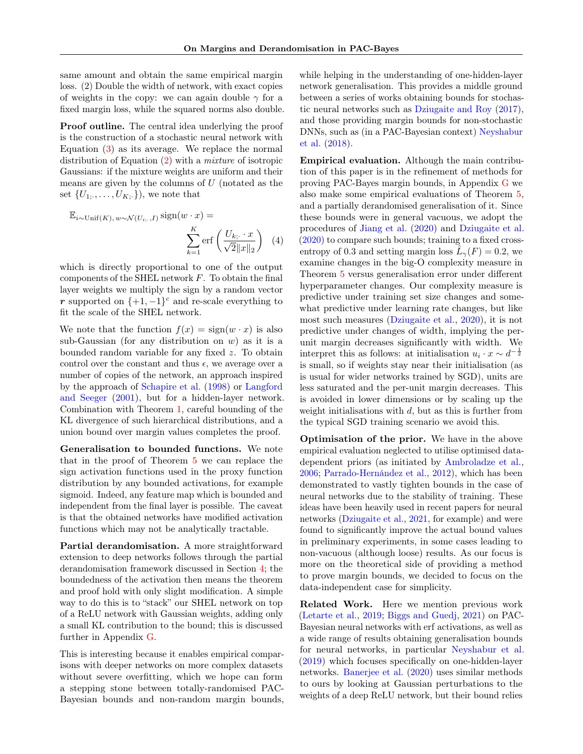same amount and obtain the same empirical margin loss. (2) Double the width of network, with exact copies of weights in the copy: we can again double  $\gamma$  for a fixed margin loss, while the squared norms also double.

Proof outline. The central idea underlying the proof is the construction of a stochastic neural network with Equation  $(3)$  as its average. We replace the normal distribution of Equation [\(2\)](#page-6-2) with a mixture of isotropic Gaussians: if the mixture weights are uniform and their means are given by the columns of  $U$  (notated as the set  $\{U_{1; \dots}, \dots, U_{K; \cdot}\}\)$ , we note that

$$
\mathbb{E}_{i \sim \text{Unif}(K), w \sim \mathcal{N}(U_{i,:}, I)} \text{sign}(w \cdot x) = \frac{K}{\sum_{k=1}^{K} \text{erf}\left(\frac{U_{k,:} \cdot x}{\sqrt{2} \|x\|_2}\right)} \quad (4)
$$

which is directly proportional to one of the output components of the SHEL network  $F$ . To obtain the final layer weights we multiply the sign by a random vector r supported on  $\{+1, -1\}^c$  and re-scale everything to fit the scale of the SHEL network.

We note that the function  $f(x) = sign(w \cdot x)$  is also sub-Gaussian (for any distribution on  $w$ ) as it is a bounded random variable for any fixed z. To obtain control over the constant and thus  $\epsilon$ , we average over a number of copies of the network, an approach inspired by the approach of [Schapire et al.](#page-11-7) [\(1998\)](#page-11-7) or [Langford](#page-10-3) [and Seeger](#page-10-3) [\(2001\)](#page-10-3), but for a hidden-layer network. Combination with Theorem [1,](#page-3-2) careful bounding of the KL divergence of such hierarchical distributions, and a union bound over margin values completes the proof.

Generalisation to bounded functions. We note that in the proof of Theorem [5](#page-6-3) we can replace the sign activation functions used in the proxy function distribution by any bounded activations, for example sigmoid. Indeed, any feature map which is bounded and independent from the final layer is possible. The caveat is that the obtained networks have modified activation functions which may not be analytically tractable.

Partial derandomisation. A more straightforward extension to deep networks follows through the partial derandomisation framework discussed in Section [4;](#page-5-0) the boundedness of the activation then means the theorem and proof hold with only slight modification. A simple way to do this is to "stack" our SHEL network on top of a ReLU network with Gaussian weights, adding only a small KL contribution to the bound; this is discussed further in Appendix [G.](#page-18-0)

This is interesting because it enables empirical comparisons with deeper networks on more complex datasets without severe overfitting, which we hope can form a stepping stone between totally-randomised PAC-Bayesian bounds and non-random margin bounds, while helping in the understanding of one-hidden-layer network generalisation. This provides a middle ground between a series of works obtaining bounds for stochastic neural networks such as [Dziugaite and Roy](#page-9-0) [\(2017\)](#page-9-0), and those providing margin bounds for non-stochastic DNNs, such as (in a PAC-Bayesian context) [Neyshabur](#page-11-0) [et al.](#page-11-0) [\(2018\)](#page-11-0).

Empirical evaluation. Although the main contribution of this paper is in the refinement of methods for proving PAC-Bayes margin bounds, in Appendix [G](#page-18-0) we also make some empirical evaluations of Theorem [5,](#page-6-3) and a partially derandomised generalisation of it. Since these bounds were in general vacuous, we adopt the procedures of [Jiang et al.](#page-10-10) [\(2020\)](#page-10-10) and [Dziugaite et al.](#page-10-11) [\(2020\)](#page-10-11) to compare such bounds; training to a fixed crossentropy of 0.3 and setting margin loss  $\hat{L}_{\gamma}(F) = 0.2$ , we examine changes in the big-O complexity measure in Theorem [5](#page-6-3) versus generalisation error under different hyperparameter changes. Our complexity measure is predictive under training set size changes and somewhat predictive under learning rate changes, but like most such measures [\(Dziugaite et al.,](#page-10-11) [2020\)](#page-10-11), it is not predictive under changes of width, implying the perunit margin decreases significantly with width. We interpret this as follows: at initialisation  $u_i \cdot x \sim d^{-\frac{1}{2}}$ is small, so if weights stay near their initialisation (as is usual for wider networks trained by SGD), units are less saturated and the per-unit margin decreases. This is avoided in lower dimensions or by scaling up the weight initialisations with  $d$ , but as this is further from the typical SGD training scenario we avoid this.

Optimisation of the prior. We have in the above empirical evaluation neglected to utilise optimised datadependent priors (as initiated by [Ambroladze et al.,](#page-9-8) [2006;](#page-9-8) [Parrado-Hernández et al.,](#page-11-10) [2012\)](#page-11-10), which has been demonstrated to vastly tighten bounds in the case of neural networks due to the stability of training. These ideas have been heavily used in recent papers for neural networks [\(Dziugaite et al.,](#page-10-12) [2021,](#page-10-12) for example) and were found to significantly improve the actual bound values in preliminary experiments, in some cases leading to non-vacuous (although loose) results. As our focus is more on the theoretical side of providing a method to prove margin bounds, we decided to focus on the data-independent case for simplicity.

Related Work. Here we mention previous work [\(Letarte et al.,](#page-10-0) [2019;](#page-10-0) [Biggs and Guedj,](#page-9-9) [2021\)](#page-9-9) on PAC-Bayesian neural networks with erf activations, as well as a wide range of results obtaining generalisation bounds for neural networks, in particular [Neyshabur et al.](#page-11-11) [\(2019\)](#page-11-11) which focuses specifically on one-hidden-layer networks. [Banerjee et al.](#page-9-10) [\(2020\)](#page-9-10) uses similar methods to ours by looking at Gaussian perturbations to the weights of a deep ReLU network, but their bound relies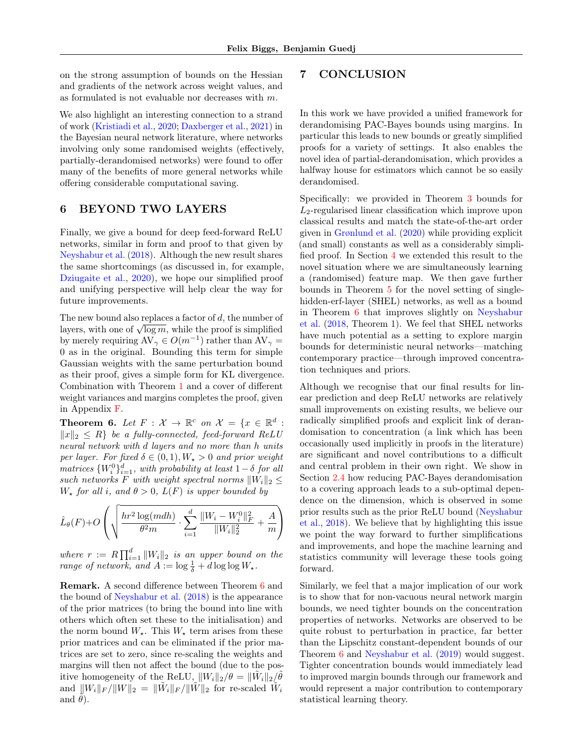on the strong assumption of bounds on the Hessian and gradients of the network across weight values, and as formulated is not evaluable nor decreases with m.

We also highlight an interesting connection to a strand of work [\(Kristiadi et al.,](#page-10-13) [2020;](#page-10-13) [Daxberger et al.,](#page-9-11) [2021\)](#page-9-11) in the Bayesian neural network literature, where networks involving only some randomised weights (effectively, partially-derandomised networks) were found to offer many of the benefits of more general networks while offering considerable computational saving.

# <span id="page-8-0"></span>6 BEYOND TWO LAYERS

Finally, we give a bound for deep feed-forward ReLU networks, similar in form and proof to that given by [Neyshabur et al.](#page-11-0) [\(2018\)](#page-11-0). Although the new result shares the same shortcomings (as discussed in, for example, [Dziugaite et al.,](#page-10-11) [2020\)](#page-10-11), we hope our simplified proof and unifying perspective will help clear the way for future improvements.

The new bound also replaces a factor of d, the number of The new bound also replaces a lactor of  $a$ , the number of layers, with one of  $\sqrt{\log m}$ , while the proof is simplified by merely requiring  $AV_{\gamma} \in O(m^{-1})$  rather than  $AV_{\gamma} =$ 0 as in the original. Bounding this term for simple Gaussian weights with the same perturbation bound as their proof, gives a simple form for KL divergence. Combination with Theorem [1](#page-3-2) and a cover of different weight variances and margins completes the proof, given in Appendix [F.](#page-17-0)

<span id="page-8-2"></span>**Theorem 6.** Let  $F: \mathcal{X} \to \mathbb{R}^c$  on  $\mathcal{X} = \{x \in \mathbb{R}^d :$  $||x||_2 ≤ R$  be a fully-connected, feed-forward ReLU neural network with d layers and no more than h units per layer. For fixed  $\delta \in (0,1), W_{\star} > 0$  and prior weight matrices  $\{W_i^0\}_{i=1}^d$ , with probability at least  $1-\delta$  for all such networks F with weight spectral norms  $||W_i||_2 \leq$  $W_{\star}$  for all i, and  $\theta > 0$ ,  $L(F)$  is upper bounded by

$$
\hat{L}_{\theta}(F) + O\left(\sqrt{\frac{hr^2\log(mdh)}{\theta^2m}} \cdot \sum_{i=1}^d \frac{||W_i - W_i^0||_F^2}{||W_i||_2^2} + \frac{A}{m}\right)
$$

where  $r := R \prod_{i=1}^d \|W_i\|_2$  is an upper bound on the range of network, and  $A := \log \frac{1}{\delta} + d \log \log W_{\star}$ .

Remark. A second difference between Theorem [6](#page-8-2) and the bound of [Neyshabur et al.](#page-11-0) [\(2018\)](#page-11-0) is the appearance of the prior matrices (to bring the bound into line with others which often set these to the initialisation) and the norm bound  $W_{\star}$ . This  $W_{\star}$  term arises from these prior matrices and can be eliminated if the prior matrices are set to zero, since re-scaling the weights and margins will then not affect the bound (due to the positive homogeneity of the ReLU,  $||W_i||_2/\theta = ||\tilde{W}_i||_2/\tilde{\theta}$ and  $\|W_i\|_F / \|W\|_2 = \|\tilde{W}_i\|_F / \|\tilde{W}\|_2$  for re-scaled  $\tilde{W}_i$ and  $\theta$ ).

# <span id="page-8-1"></span>7 CONCLUSION

In this work we have provided a unified framework for derandomising PAC-Bayes bounds using margins. In particular this leads to new bounds or greatly simplified proofs for a variety of settings. It also enables the novel idea of partial-derandomisation, which provides a halfway house for estimators which cannot be so easily derandomised.

Specifically: we provided in Theorem [3](#page-4-2) bounds for  $L_2$ -regularised linear classification which improve upon classical results and match the state-of-the-art order given in [Grønlund et al.](#page-10-5) [\(2020\)](#page-10-5) while providing explicit (and small) constants as well as a considerably simplified proof. In Section [4](#page-5-0) we extended this result to the novel situation where we are simultaneously learning a (randomised) feature map. We then gave further bounds in Theorem [5](#page-6-3) for the novel setting of singlehidden-erf-layer (SHEL) networks, as well as a bound in Theorem [6](#page-8-2) that improves slightly on [Neyshabur](#page-11-0) [et al.](#page-11-0) [\(2018,](#page-11-0) Theorem 1). We feel that SHEL networks have much potential as a setting to explore margin bounds for deterministic neural networks—matching contemporary practice—through improved concentration techniques and priors.

Although we recognise that our final results for linear prediction and deep ReLU networks are relatively small improvements on existing results, we believe our radically simplified proofs and explicit link of derandomisation to concentration (a link which has been occasionally used implicitly in proofs in the literature) are significant and novel contributions to a difficult and central problem in their own right. We show in Section [2.4](#page-4-1) how reducing PAC-Bayes derandomisation to a covering approach leads to a sub-optimal dependence on the dimension, which is observed in some prior results such as the prior ReLU bound [\(Neyshabur](#page-11-0) [et al.,](#page-11-0) [2018\)](#page-11-0). We believe that by highlighting this issue we point the way forward to further simplifications and improvements, and hope the machine learning and statistics community will leverage these tools going forward.

Similarly, we feel that a major implication of our work is to show that for non-vacuous neural network margin bounds, we need tighter bounds on the concentration properties of networks. Networks are observed to be quite robust to perturbation in practice, far better than the Lipschitz constant-dependent bounds of our Theorem [6](#page-8-2) and [Neyshabur et al.](#page-11-11) [\(2019\)](#page-11-11) would suggest. Tighter concentration bounds would immediately lead to improved margin bounds through our framework and would represent a major contribution to contemporary statistical learning theory.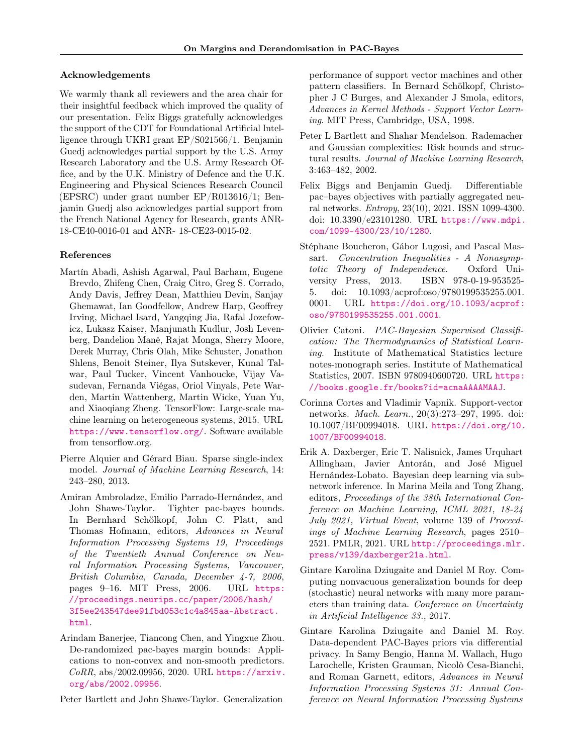#### Acknowledgements

We warmly thank all reviewers and the area chair for their insightful feedback which improved the quality of our presentation. Felix Biggs gratefully acknowledges the support of the CDT for Foundational Artificial Intelligence through UKRI grant EP/S021566/1. Benjamin Guedj acknowledges partial support by the U.S. Army Research Laboratory and the U.S. Army Research Office, and by the U.K. Ministry of Defence and the U.K. Engineering and Physical Sciences Research Council (EPSRC) under grant number EP/R013616/1; Benjamin Guedj also acknowledges partial support from the French National Agency for Research, grants ANR-18-CE40-0016-01 and ANR- 18-CE23-0015-02.

### References

- <span id="page-9-12"></span>Martín Abadi, Ashish Agarwal, Paul Barham, Eugene Brevdo, Zhifeng Chen, Craig Citro, Greg S. Corrado, Andy Davis, Jeffrey Dean, Matthieu Devin, Sanjay Ghemawat, Ian Goodfellow, Andrew Harp, Geoffrey Irving, Michael Isard, Yangqing Jia, Rafal Jozefowicz, Lukasz Kaiser, Manjunath Kudlur, Josh Levenberg, Dandelion Mané, Rajat Monga, Sherry Moore, Derek Murray, Chris Olah, Mike Schuster, Jonathon Shlens, Benoit Steiner, Ilya Sutskever, Kunal Talwar, Paul Tucker, Vincent Vanhoucke, Vijay Vasudevan, Fernanda Viégas, Oriol Vinyals, Pete Warden, Martin Wattenberg, Martin Wicke, Yuan Yu, and Xiaoqiang Zheng. TensorFlow: Large-scale machine learning on heterogeneous systems, 2015. URL <https://www.tensorflow.org/>. Software available from tensorflow.org.
- <span id="page-9-5"></span>Pierre Alquier and Gérard Biau. Sparse single-index model. Journal of Machine Learning Research, 14: 243–280, 2013.
- <span id="page-9-8"></span>Amiran Ambroladze, Emilio Parrado-Hernández, and John Shawe-Taylor. Tighter pac-bayes bounds. In Bernhard Schölkopf, John C. Platt, and Thomas Hofmann, editors, Advances in Neural Information Processing Systems 19, Proceedings of the Twentieth Annual Conference on Neural Information Processing Systems, Vancouver, British Columbia, Canada, December 4-7, 2006, pages 9–16. MIT Press, 2006. URL [https:](https://proceedings.neurips.cc/paper/2006/hash/3f5ee243547dee91fbd053c1c4a845aa-Abstract.html) [//proceedings.neurips.cc/paper/2006/hash/](https://proceedings.neurips.cc/paper/2006/hash/3f5ee243547dee91fbd053c1c4a845aa-Abstract.html) [3f5ee243547dee91fbd053c1c4a845aa-Abstract.](https://proceedings.neurips.cc/paper/2006/hash/3f5ee243547dee91fbd053c1c4a845aa-Abstract.html) [html](https://proceedings.neurips.cc/paper/2006/hash/3f5ee243547dee91fbd053c1c4a845aa-Abstract.html).
- <span id="page-9-10"></span>Arindam Banerjee, Tiancong Chen, and Yingxue Zhou. De-randomized pac-bayes margin bounds: Applications to non-convex and non-smooth predictors. CoRR, abs/2002.09956, 2020. URL [https://arxiv.](https://arxiv.org/abs/2002.09956) [org/abs/2002.09956](https://arxiv.org/abs/2002.09956).

<span id="page-9-4"></span>Peter Bartlett and John Shawe-Taylor. Generalization

performance of support vector machines and other pattern classifiers. In Bernard Schölkopf, Christopher J C Burges, and Alexander J Smola, editors, Advances in Kernel Methods - Support Vector Learning. MIT Press, Cambridge, USA, 1998.

- <span id="page-9-7"></span>Peter L Bartlett and Shahar Mendelson. Rademacher and Gaussian complexities: Risk bounds and structural results. Journal of Machine Learning Research, 3:463–482, 2002.
- <span id="page-9-9"></span>Felix Biggs and Benjamin Guedj. Differentiable pac–bayes objectives with partially aggregated neural networks. Entropy, 23(10), 2021. ISSN 1099-4300. doi: 10.3390/e23101280. URL [https://www.mdpi.](https://www.mdpi.com/1099-4300/23/10/1280) [com/1099-4300/23/10/1280](https://www.mdpi.com/1099-4300/23/10/1280).
- <span id="page-9-6"></span>Stéphane Boucheron, Gábor Lugosi, and Pascal Massart. Concentration Inequalities - A Nonasymptotic Theory of Independence. Oxford University Press, 2013. ISBN 978-0-19-953525- 5. doi: 10.1093/acprof:oso/9780199535255.001. 0001. URL [https://doi.org/10.1093/acprof:](https://doi.org/10.1093/acprof:oso/9780199535255.001.0001) [oso/9780199535255.001.0001](https://doi.org/10.1093/acprof:oso/9780199535255.001.0001).
- <span id="page-9-2"></span>Olivier Catoni. PAC-Bayesian Supervised Classification: The Thermodynamics of Statistical Learning. Institute of Mathematical Statistics lecture notes-monograph series. Institute of Mathematical Statistics, 2007. ISBN 9780940600720. URL [https:](https://books.google.fr/books?id=acnaAAAAMAAJ) [//books.google.fr/books?id=acnaAAAAMAAJ](https://books.google.fr/books?id=acnaAAAAMAAJ).
- <span id="page-9-3"></span>Corinna Cortes and Vladimir Vapnik. Support-vector networks. Mach. Learn., 20(3):273–297, 1995. doi: 10.1007/BF00994018. URL [https://doi.org/10.](https://doi.org/10.1007/BF00994018) [1007/BF00994018](https://doi.org/10.1007/BF00994018).
- <span id="page-9-11"></span>Erik A. Daxberger, Eric T. Nalisnick, James Urquhart Allingham, Javier Antorán, and José Miguel Hernández-Lobato. Bayesian deep learning via subnetwork inference. In Marina Meila and Tong Zhang, editors, Proceedings of the 38th International Conference on Machine Learning, ICML 2021, 18-24 July 2021, Virtual Event, volume 139 of Proceedings of Machine Learning Research, pages 2510– 2521. PMLR, 2021. URL [http://proceedings.mlr.](http://proceedings.mlr.press/v139/daxberger21a.html) [press/v139/daxberger21a.html](http://proceedings.mlr.press/v139/daxberger21a.html).
- <span id="page-9-0"></span>Gintare Karolina Dziugaite and Daniel M Roy. Computing nonvacuous generalization bounds for deep (stochastic) neural networks with many more parameters than training data. Conference on Uncertainty in Artificial Intelligence 33., 2017.
- <span id="page-9-1"></span>Gintare Karolina Dziugaite and Daniel M. Roy. Data-dependent PAC-Bayes priors via differential privacy. In Samy Bengio, Hanna M. Wallach, Hugo Larochelle, Kristen Grauman, Nicolò Cesa-Bianchi, and Roman Garnett, editors, Advances in Neural Information Processing Systems 31: Annual Conference on Neural Information Processing Systems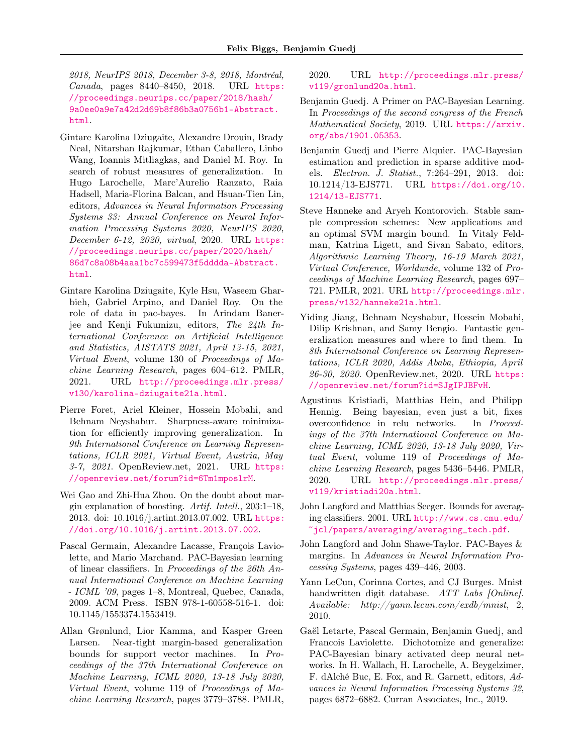2018, NeurIPS 2018, December 3-8, 2018, Montréal, Canada, pages 8440–8450, 2018. URL [https:](https://proceedings.neurips.cc/paper/2018/hash/9a0ee0a9e7a42d2d69b8f86b3a0756b1-Abstract.html) [//proceedings.neurips.cc/paper/2018/hash/](https://proceedings.neurips.cc/paper/2018/hash/9a0ee0a9e7a42d2d69b8f86b3a0756b1-Abstract.html) [9a0ee0a9e7a42d2d69b8f86b3a0756b1-Abstract.](https://proceedings.neurips.cc/paper/2018/hash/9a0ee0a9e7a42d2d69b8f86b3a0756b1-Abstract.html) [html](https://proceedings.neurips.cc/paper/2018/hash/9a0ee0a9e7a42d2d69b8f86b3a0756b1-Abstract.html).

- <span id="page-10-11"></span>Gintare Karolina Dziugaite, Alexandre Drouin, Brady Neal, Nitarshan Rajkumar, Ethan Caballero, Linbo Wang, Ioannis Mitliagkas, and Daniel M. Roy. In search of robust measures of generalization. In Hugo Larochelle, Marc'Aurelio Ranzato, Raia Hadsell, Maria-Florina Balcan, and Hsuan-Tien Lin, editors, Advances in Neural Information Processing Systems 33: Annual Conference on Neural Information Processing Systems 2020, NeurIPS 2020, December 6-12, 2020, virtual, 2020. URL [https:](https://proceedings.neurips.cc/paper/2020/hash/86d7c8a08b4aaa1bc7c599473f5dddda-Abstract.html) [//proceedings.neurips.cc/paper/2020/hash/](https://proceedings.neurips.cc/paper/2020/hash/86d7c8a08b4aaa1bc7c599473f5dddda-Abstract.html) [86d7c8a08b4aaa1bc7c599473f5dddda-Abstract.](https://proceedings.neurips.cc/paper/2020/hash/86d7c8a08b4aaa1bc7c599473f5dddda-Abstract.html) [html](https://proceedings.neurips.cc/paper/2020/hash/86d7c8a08b4aaa1bc7c599473f5dddda-Abstract.html).
- <span id="page-10-12"></span>Gintare Karolina Dziugaite, Kyle Hsu, Waseem Gharbieh, Gabriel Arpino, and Daniel Roy. On the role of data in pac-bayes. In Arindam Banerjee and Kenji Fukumizu, editors, The 24th International Conference on Artificial Intelligence and Statistics, AISTATS 2021, April 13-15, 2021, Virtual Event, volume 130 of Proceedings of Machine Learning Research, pages 604–612. PMLR, 2021. URL [http://proceedings.mlr.press/](http://proceedings.mlr.press/v130/karolina-dziugaite21a.html) [v130/karolina-dziugaite21a.html](http://proceedings.mlr.press/v130/karolina-dziugaite21a.html).
- <span id="page-10-1"></span>Pierre Foret, Ariel Kleiner, Hossein Mobahi, and Behnam Neyshabur. Sharpness-aware minimization for efficiently improving generalization. In 9th International Conference on Learning Representations, ICLR 2021, Virtual Event, Austria, May 3-7, 2021. OpenReview.net, 2021. URL [https:](https://openreview.net/forum?id=6Tm1mposlrM) [//openreview.net/forum?id=6Tm1mposlrM](https://openreview.net/forum?id=6Tm1mposlrM).
- <span id="page-10-9"></span>Wei Gao and Zhi-Hua Zhou. On the doubt about margin explanation of boosting. Artif. Intell., 203:1–18, 2013. doi: 10.1016/j.artint.2013.07.002. URL [https:](https://doi.org/10.1016/j.artint.2013.07.002) [//doi.org/10.1016/j.artint.2013.07.002](https://doi.org/10.1016/j.artint.2013.07.002).
- <span id="page-10-7"></span>Pascal Germain, Alexandre Lacasse, François Laviolette, and Mario Marchand. PAC-Bayesian learning of linear classifiers. In Proceedings of the 26th Annual International Conference on Machine Learning - ICML '09, pages 1–8, Montreal, Quebec, Canada, 2009. ACM Press. ISBN 978-1-60558-516-1. doi: 10.1145/1553374.1553419.
- <span id="page-10-5"></span>Allan Grønlund, Lior Kamma, and Kasper Green Larsen. Near-tight margin-based generalization bounds for support vector machines. In Proceedings of the 37th International Conference on Machine Learning, ICML 2020, 13-18 July 2020, Virtual Event, volume 119 of Proceedings of Machine Learning Research, pages 3779–3788. PMLR,

2020. URL [http://proceedings.mlr.press/](http://proceedings.mlr.press/v119/gronlund20a.html) [v119/gronlund20a.html](http://proceedings.mlr.press/v119/gronlund20a.html).

- <span id="page-10-2"></span>Benjamin Guedj. A Primer on PAC-Bayesian Learning. In Proceedings of the second congress of the French Mathematical Society, 2019. URL [https://arxiv.](https://arxiv.org/abs/1901.05353) [org/abs/1901.05353](https://arxiv.org/abs/1901.05353).
- <span id="page-10-6"></span>Benjamin Guedj and Pierre Alquier. PAC-Bayesian estimation and prediction in sparse additive models. Electron. J. Statist., 7:264–291, 2013. doi: 10.1214/13-EJS771. URL [https://doi.org/10.](https://doi.org/10.1214/13-EJS771) [1214/13-EJS771](https://doi.org/10.1214/13-EJS771).
- <span id="page-10-8"></span>Steve Hanneke and Aryeh Kontorovich. Stable sample compression schemes: New applications and an optimal SVM margin bound. In Vitaly Feldman, Katrina Ligett, and Sivan Sabato, editors, Algorithmic Learning Theory, 16-19 March 2021, Virtual Conference, Worldwide, volume 132 of Proceedings of Machine Learning Research, pages 697– 721. PMLR, 2021. URL [http://proceedings.mlr.](http://proceedings.mlr.press/v132/hanneke21a.html) [press/v132/hanneke21a.html](http://proceedings.mlr.press/v132/hanneke21a.html).
- <span id="page-10-10"></span>Yiding Jiang, Behnam Neyshabur, Hossein Mobahi, Dilip Krishnan, and Samy Bengio. Fantastic generalization measures and where to find them. In 8th International Conference on Learning Representations, ICLR 2020, Addis Ababa, Ethiopia, April 26-30, 2020. OpenReview.net, 2020. URL [https:](https://openreview.net/forum?id=SJgIPJBFvH) [//openreview.net/forum?id=SJgIPJBFvH](https://openreview.net/forum?id=SJgIPJBFvH).
- <span id="page-10-13"></span>Agustinus Kristiadi, Matthias Hein, and Philipp Hennig. Being bayesian, even just a bit, fixes overconfidence in relu networks. In Proceedings of the 37th International Conference on Machine Learning, ICML 2020, 13-18 July 2020, Virtual Event, volume 119 of Proceedings of Machine Learning Research, pages 5436–5446. PMLR, 2020. URL [http://proceedings.mlr.press/](http://proceedings.mlr.press/v119/kristiadi20a.html) [v119/kristiadi20a.html](http://proceedings.mlr.press/v119/kristiadi20a.html).
- <span id="page-10-3"></span>John Langford and Matthias Seeger. Bounds for averaging classifiers. 2001. URL [http://www.cs.cmu.edu/](http://www.cs.cmu.edu/~jcl/papers/averaging/averaging_tech.pdf) [~jcl/papers/averaging/averaging\\_tech.pdf](http://www.cs.cmu.edu/~jcl/papers/averaging/averaging_tech.pdf).
- <span id="page-10-4"></span>John Langford and John Shawe-Taylor. PAC-Bayes & margins. In Advances in Neural Information Processing Systems, pages 439–446, 2003.
- <span id="page-10-14"></span>Yann LeCun, Corinna Cortes, and CJ Burges. Mnist handwritten digit database. ATT Labs [Online]. Available: http://yann.lecun.com/exdb/mnist, 2, 2010.
- <span id="page-10-0"></span>Gaël Letarte, Pascal Germain, Benjamin Guedj, and Francois Laviolette. Dichotomize and generalize: PAC-Bayesian binary activated deep neural networks. In H. Wallach, H. Larochelle, A. Beygelzimer, F. dAlché Buc, E. Fox, and R. Garnett, editors, Advances in Neural Information Processing Systems 32, pages 6872–6882. Curran Associates, Inc., 2019.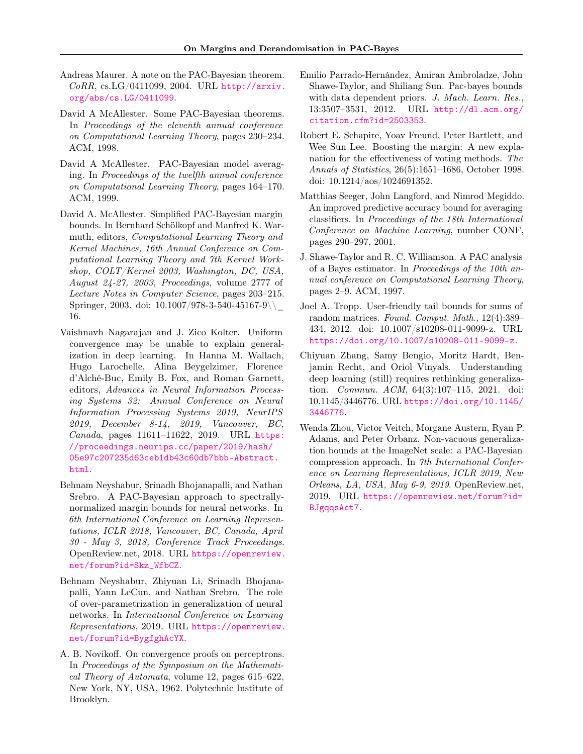- <span id="page-11-12"></span>Andreas Maurer. A note on the PAC-Bayesian theorem. CoRR, cs.LG/0411099, 2004. URL [http://arxiv.](http://arxiv.org/abs/cs.LG/0411099) [org/abs/cs.LG/0411099](http://arxiv.org/abs/cs.LG/0411099).
- <span id="page-11-3"></span>David A McAllester. Some PAC-Bayesian theorems. In Proceedings of the eleventh annual conference on Computational Learning Theory, pages 230–234. ACM, 1998.
- <span id="page-11-4"></span>David A McAllester. PAC-Bayesian model averaging. In Proceedings of the twelfth annual conference on Computational Learning Theory, pages 164–170. ACM, 1999.
- <span id="page-11-9"></span>David A. McAllester. Simplified PAC-Bayesian margin bounds. In Bernhard Schölkopf and Manfred K. Warmuth, editors, Computational Learning Theory and Kernel Machines, 16th Annual Conference on Computational Learning Theory and 7th Kernel Workshop, COLT/Kernel 2003, Washington, DC, USA, August 24-27, 2003, Proceedings, volume 2777 of Lecture Notes in Computer Science, pages 203–215. Springer, 2003. doi:  $10.1007/978-3-540-45167-9$ 16.
- <span id="page-11-8"></span>Vaishnavh Nagarajan and J. Zico Kolter. Uniform convergence may be unable to explain generalization in deep learning. In Hanna M. Wallach, Hugo Larochelle, Alina Beygelzimer, Florence d'Alché-Buc, Emily B. Fox, and Roman Garnett, editors, Advances in Neural Information Processing Systems 32: Annual Conference on Neural Information Processing Systems 2019, NeurIPS 2019, December 8-14, 2019, Vancouver, BC, Canada, pages 11611–11622, 2019. URL [https:](https://proceedings.neurips.cc/paper/2019/hash/05e97c207235d63ceb1db43c60db7bbb-Abstract.html) [//proceedings.neurips.cc/paper/2019/hash/](https://proceedings.neurips.cc/paper/2019/hash/05e97c207235d63ceb1db43c60db7bbb-Abstract.html) [05e97c207235d63ceb1db43c60db7bbb-Abstract.](https://proceedings.neurips.cc/paper/2019/hash/05e97c207235d63ceb1db43c60db7bbb-Abstract.html) [html](https://proceedings.neurips.cc/paper/2019/hash/05e97c207235d63ceb1db43c60db7bbb-Abstract.html).
- <span id="page-11-0"></span>Behnam Neyshabur, Srinadh Bhojanapalli, and Nathan Srebro. A PAC-Bayesian approach to spectrallynormalized margin bounds for neural networks. In 6th International Conference on Learning Representations, ICLR 2018, Vancouver, BC, Canada, April 30 - May 3, 2018, Conference Track Proceedings. OpenReview.net, 2018. URL [https://openreview.](https://openreview.net/forum?id=Skz_WfbCZ) [net/forum?id=Skz\\_WfbCZ](https://openreview.net/forum?id=Skz_WfbCZ).
- <span id="page-11-11"></span>Behnam Neyshabur, Zhiyuan Li, Srinadh Bhojanapalli, Yann LeCun, and Nathan Srebro. The role of over-parametrization in generalization of neural networks. In International Conference on Learning Representations, 2019. URL [https://openreview.](https://openreview.net/forum?id=BygfghAcYX) [net/forum?id=BygfghAcYX](https://openreview.net/forum?id=BygfghAcYX).
- <span id="page-11-6"></span>A. B. Novikoff. On convergence proofs on perceptrons. In Proceedings of the Symposium on the Mathematical Theory of Automata, volume 12, pages 615–622, New York, NY, USA, 1962. Polytechnic Institute of Brooklyn.
- <span id="page-11-10"></span>Emilio Parrado-Hernández, Amiran Ambroladze, John Shawe-Taylor, and Shiliang Sun. Pac-bayes bounds with data dependent priors. J. Mach. Learn. Res., 13:3507–3531, 2012. URL [http://dl.acm.org/](http://dl.acm.org/citation.cfm?id=2503353) [citation.cfm?id=2503353](http://dl.acm.org/citation.cfm?id=2503353).
- <span id="page-11-7"></span>Robert E. Schapire, Yoav Freund, Peter Bartlett, and Wee Sun Lee. Boosting the margin: A new explanation for the effectiveness of voting methods. The Annals of Statistics, 26(5):1651–1686, October 1998. doi: 10.1214/aos/1024691352.
- <span id="page-11-13"></span>Matthias Seeger, John Langford, and Nimrod Megiddo. An improved predictive accuracy bound for averaging classifiers. In Proceedings of the 18th International Conference on Machine Learning, number CONF, pages 290–297, 2001.
- <span id="page-11-2"></span>J. Shawe-Taylor and R. C. Williamson. A PAC analysis of a Bayes estimator. In Proceedings of the 10th annual conference on Computational Learning Theory, pages 2–9. ACM, 1997.
- <span id="page-11-14"></span>Joel A. Tropp. User-friendly tail bounds for sums of random matrices. Found. Comput. Math., 12(4):389– 434, 2012. doi: 10.1007/s10208-011-9099-z. URL <https://doi.org/10.1007/s10208-011-9099-z>.
- <span id="page-11-5"></span>Chiyuan Zhang, Samy Bengio, Moritz Hardt, Benjamin Recht, and Oriol Vinyals. Understanding deep learning (still) requires rethinking generalization. Commun. ACM, 64(3):107–115, 2021. doi: 10.1145/3446776. URL [https://doi.org/10.1145/](https://doi.org/10.1145/3446776) [3446776](https://doi.org/10.1145/3446776).
- <span id="page-11-1"></span>Wenda Zhou, Victor Veitch, Morgane Austern, Ryan P. Adams, and Peter Orbanz. Non-vacuous generalization bounds at the ImageNet scale: a PAC-Bayesian compression approach. In 7th International Conference on Learning Representations, ICLR 2019, New Orleans, LA, USA, May 6-9, 2019. OpenReview.net, 2019. URL [https://openreview.net/forum?id=](https://openreview.net/forum?id=BJgqqsAct7) [BJgqqsAct7](https://openreview.net/forum?id=BJgqqsAct7).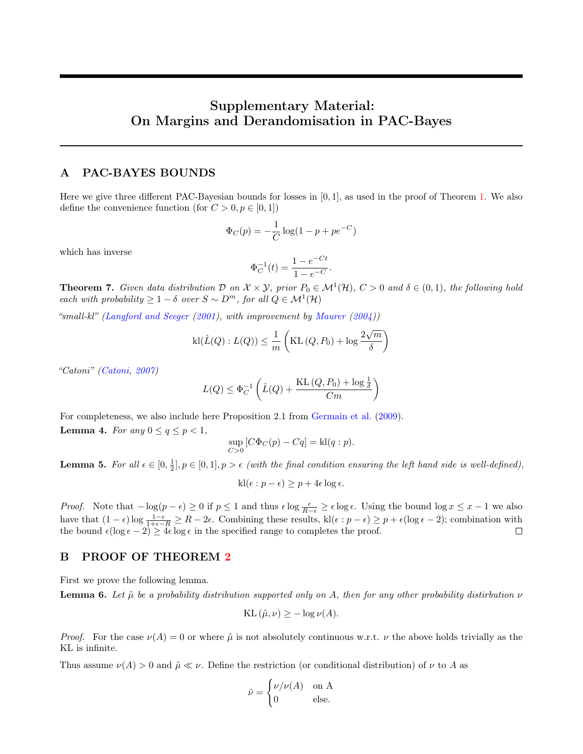# Supplementary Material: On Margins and Derandomisation in PAC-Bayes

### <span id="page-12-0"></span>A PAC-BAYES BOUNDS

Here we give three different PAC-Bayesian bounds for losses in  $[0, 1]$ , as used in the proof of Theorem [1.](#page-3-2) We also define the convenience function (for  $C > 0, p \in [0, 1]$ )

$$
\Phi_C(p) = -\frac{1}{C} \log(1 - p + pe^{-C})
$$

which has inverse

$$
\Phi_C^{-1}(t) = \frac{1 - e^{-Ct}}{1 - e^{-C}}.
$$

**Theorem 7.** Given data distribution  $D$  on  $X \times Y$ , prior  $P_0 \in M^1(\mathcal{H})$ ,  $C > 0$  and  $\delta \in (0,1)$ , the following hold each with probability  $\geq 1-\delta$  over  $S \sim D^m$ , for all  $Q \in \mathcal{M}^1(\mathcal{H})$ 

"small-kl" [\(Langford and Seeger](#page-10-3)  $(2001)$ , with improvement by [Maurer](#page-11-12)  $(2004)$ )

$$
\textnormal{kl}(\hat{L}(Q):L(Q))\leq \frac{1}{m}\left(\textnormal{KL}\left(Q,P_0\right)+\log\frac{2\sqrt{m}}{\delta}\right)
$$

"Catoni" [\(Catoni,](#page-9-2) [2007\)](#page-9-2)

$$
L(Q) \leq \Phi_C^{-1} \left( \hat{L}(Q) + \frac{KL(Q, P_0) + \log \frac{1}{\delta}}{Cm} \right)
$$

For completeness, we also include here Proposition 2.1 from [Germain et al.](#page-10-7) [\(2009\)](#page-10-7). **Lemma 4.** For any  $0 \le q \le p < 1$ ,

$$
\sup_{C>0} [C\Phi_C(p) - Cq] = kl(q:p).
$$

<span id="page-12-1"></span>**Lemma 5.** For all  $\epsilon \in [0, \frac{1}{2}], p \in [0, 1], p > \epsilon$  (with the final condition ensuring the left hand side is well-defined),

$$
kl(\epsilon : p - \epsilon) \ge p + 4\epsilon \log \epsilon.
$$

*Proof.* Note that  $-\log(p-\epsilon) \ge 0$  if  $p \le 1$  and thus  $\epsilon \log \frac{\epsilon}{R-\epsilon} \ge \epsilon \log \epsilon$ . Using the bound  $\log x \le x-1$  we also have that  $(1 - \epsilon) \log \frac{1 - \epsilon}{1 + \epsilon - R} \ge R - 2\epsilon$ . Combining these results, kl( $\epsilon : p - \epsilon$ )  $\ge p + \epsilon (\log \epsilon - 2)$ ; combination with the bound  $\epsilon(\log \epsilon - 2) \geq 4\epsilon \log \epsilon$  in the specified range to completes the proof.

# <span id="page-12-2"></span>B PROOF OF THEOREM [2](#page-4-3)

First we prove the following lemma.

<span id="page-12-3"></span>**Lemma 6.** Let  $\tilde{\mu}$  be a probability distribution supported only on A, then for any other probability distirbution  $\nu$ 

$$
KL(\tilde{\mu}, \nu) \ge -\log \nu(A).
$$

*Proof.* For the case  $\nu(A) = 0$  or where  $\tilde{\mu}$  is not absolutely continuous w.r.t.  $\nu$  the above holds trivially as the KL is infinite.

Thus assume  $\nu(A) > 0$  and  $\tilde{\mu} \ll \nu$ . Define the restriction (or conditional distribution) of  $\nu$  to A as

$$
\tilde{\nu} = \begin{cases} \nu/\nu(A) & \text{on A} \\ 0 & \text{else.} \end{cases}
$$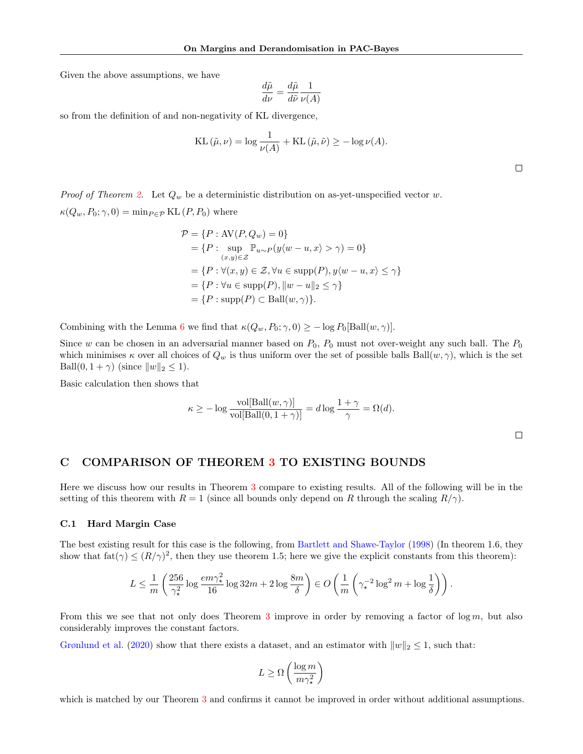Given the above assumptions, we have

$$
\frac{d\tilde{\mu}}{d\nu} = \frac{d\tilde{\mu}}{d\tilde{\nu}} \frac{1}{\nu(A)}
$$

so from the definition of and non-negativity of KL divergence,

KL 
$$
(\tilde{\mu}, \nu) = \log \frac{1}{\nu(A)} + \text{KL}(\tilde{\mu}, \tilde{\nu}) \ge -\log \nu(A).
$$

 $\Box$ 

*Proof of Theorem [2.](#page-4-3)* Let  $Q_w$  be a deterministic distribution on as-yet-unspecified vector w.  $\kappa(Q_w, P_0; \gamma, 0) = \min_{P \in \mathcal{P}} \mathrm{KL}(P, P_0)$  where

$$
\mathcal{P} = \{P : \text{AV}(P, Q_w) = 0\}
$$
  
=  $\{P : \sup_{(x,y)\in\mathcal{Z}} \mathbb{P}_{u\sim P}(y\langle w - u, x \rangle > \gamma) = 0\}$   
=  $\{P : \forall (x, y) \in \mathcal{Z}, \forall u \in \text{supp}(P), y\langle w - u, x \rangle \leq \gamma\}$   
=  $\{P : \forall u \in \text{supp}(P), ||w - u||_2 \leq \gamma\}$   
=  $\{P : \text{supp}(P) \subset \text{Ball}(w, \gamma)\}.$ 

Combining with the Lemma [6](#page-12-3) we find that  $\kappa(Q_w, P_0; \gamma, 0) \ge -\log P_0[\text{Ball}(w, \gamma)].$ 

Since w can be chosen in an adversarial manner based on  $P_0$ ,  $P_0$  must not over-weight any such ball. The  $P_0$ which minimises  $\kappa$  over all choices of  $Q_w$  is thus uniform over the set of possible balls Ball $(w, \gamma)$ , which is the set Ball $(0, 1 + \gamma)$  (since  $||w||_2 \le 1$ ).

Basic calculation then shows that

$$
\kappa \ge -\log \frac{\text{vol[Ball}(w, \gamma)]}{\text{vol[Ball}(0, 1 + \gamma)]} = d \log \frac{1 + \gamma}{\gamma} = \Omega(d).
$$

### <span id="page-13-0"></span>C COMPARISON OF THEOREM [3](#page-4-2) TO EXISTING BOUNDS

Here we discuss how our results in Theorem [3](#page-4-2) compare to existing results. All of the following will be in the setting of this theorem with  $R = 1$  (since all bounds only depend on R through the scaling  $R/\gamma$ ).

#### C.1 Hard Margin Case

The best existing result for this case is the following, from [Bartlett and Shawe-Taylor](#page-9-4) [\(1998\)](#page-9-4) (In theorem 1.6, they show that  $f \text{at}(\gamma) \leq (R/\gamma)^2$ , then they use theorem 1.5; here we give the explicit constants from this theorem):

$$
L \leq \frac{1}{m} \left( \frac{256}{\gamma_{\star}^2} \log \frac{em \gamma_{\star}^2}{16} \log 32m + 2 \log \frac{8m}{\delta} \right) \in O\left( \frac{1}{m} \left( \gamma_{\star}^{-2} \log^2 m + \log \frac{1}{\delta} \right) \right).
$$

From this we see that not only does Theorem [3](#page-4-2) improve in order by removing a factor of  $\log m$ , but also considerably improves the constant factors.

[Grønlund et al.](#page-10-5) [\(2020\)](#page-10-5) show that there exists a dataset, and an estimator with  $||w||_2 \le 1$ , such that:

$$
L \ge \Omega\left(\frac{\log m}{m\gamma_{\star}^2}\right)
$$

which is matched by our Theorem [3](#page-4-2) and confirms it cannot be improved in order without additional assumptions.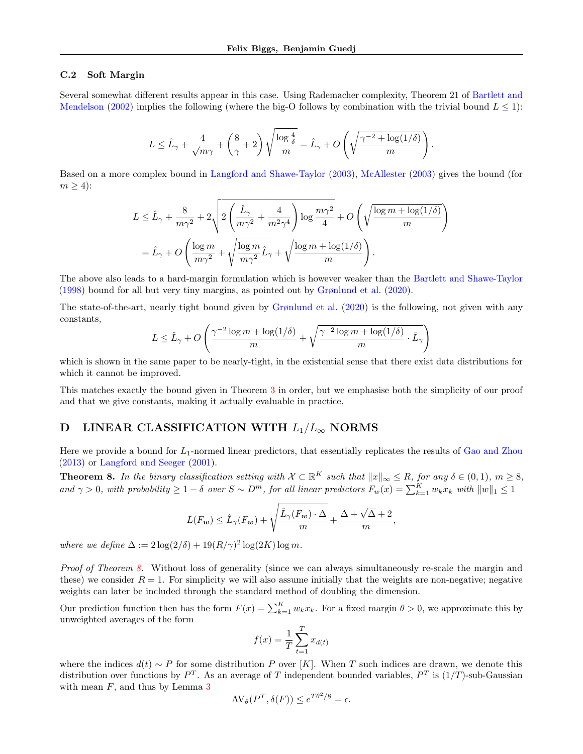#### C.2 Soft Margin

Several somewhat different results appear in this case. Using Rademacher complexity, Theorem 21 of [Bartlett and](#page-9-7) [Mendelson](#page-9-7) [\(2002\)](#page-9-7) implies the following (where the big-O follows by combination with the trivial bound  $L \leq 1$ ):

$$
L \leq \hat{L}_{\gamma} + \frac{4}{\sqrt{m}\gamma} + \left(\frac{8}{\gamma} + 2\right) \sqrt{\frac{\log \frac{4}{\delta}}{m}} = \hat{L}_{\gamma} + O\left(\sqrt{\frac{\gamma^{-2} + \log(1/\delta)}{m}}\right).
$$

Based on a more complex bound in [Langford and Shawe-Taylor](#page-10-4) [\(2003\)](#page-10-4), [McAllester](#page-11-9) [\(2003\)](#page-11-9) gives the bound (for  $m \geq 4$ :

$$
L \leq \hat{L}_{\gamma} + \frac{8}{m\gamma^2} + 2\sqrt{2\left(\frac{\hat{L}_{\gamma}}{m\gamma^2} + \frac{4}{m^2\gamma^4}\right)\log\frac{m\gamma^2}{4}} + O\left(\sqrt{\frac{\log m + \log(1/\delta)}{m}}\right)
$$
  
=  $\hat{L}_{\gamma} + O\left(\frac{\log m}{m\gamma^2} + \sqrt{\frac{\log m}{m\gamma^2}\hat{L}_{\gamma}} + \sqrt{\frac{\log m + \log(1/\delta)}{m}}\right).$ 

The above also leads to a hard-margin formulation which is however weaker than the [Bartlett and Shawe-Taylor](#page-9-4) [\(1998\)](#page-9-4) bound for all but very tiny margins, as pointed out by [Grønlund et al.](#page-10-5) [\(2020\)](#page-10-5).

The state-of-the-art, nearly tight bound given by [Grønlund et al.](#page-10-5) [\(2020\)](#page-10-5) is the following, not given with any constants,

$$
L \leq \hat{L}_{\gamma} + O\left(\frac{\gamma^{-2} \log m + \log(1/\delta)}{m} + \sqrt{\frac{\gamma^{-2} \log m + \log(1/\delta)}{m} \cdot \hat{L}_{\gamma}}\right)
$$

which is shown in the same paper to be nearly-tight, in the existential sense that there exist data distributions for which it cannot be improved.

This matches exactly the bound given in Theorem [3](#page-4-2) in order, but we emphasise both the simplicity of our proof and that we give constants, making it actually evaluable in practice.

### <span id="page-14-0"></span>D LINEAR CLASSIFICATION WITH  $L_1/L_{\infty}$  NORMS

Here we provide a bound for  $L_1$ -normed linear predictors, that essentially replicates the results of [Gao and Zhou](#page-10-9) [\(2013\)](#page-10-9) or [Langford and Seeger](#page-10-3) [\(2001\)](#page-10-3).

<span id="page-14-1"></span>**Theorem 8.** In the binary classification setting with  $\mathcal{X} \subset \mathbb{R}^K$  such that  $||x||_{\infty} \leq R$ , for any  $\delta \in (0,1)$ ,  $m \geq 8$ , and  $\gamma > 0$ , with probability  $\geq 1 - \delta$  over  $S \sim D^m$ , for all linear predictors  $F_w(x) = \sum_{k=1}^{K} w_k x_k$  with  $||w||_1 \leq 1$ 

$$
L(F_{\mathbf{w}}) \leq \hat{L}_{\gamma}(F_{\mathbf{w}}) + \sqrt{\frac{\hat{L}_{\gamma}(F_{\mathbf{w}}) \cdot \Delta}{m}} + \frac{\Delta + \sqrt{\Delta} + 2}{m},
$$

where we define  $\Delta := 2 \log(2/\delta) + 19(R/\gamma)^2 \log(2K) \log m$ .

Proof of Theorem [8.](#page-14-1) Without loss of generality (since we can always simultaneously re-scale the margin and these) we consider  $R = 1$ . For simplicity we will also assume initially that the weights are non-negative; negative weights can later be included through the standard method of doubling the dimension.

Our prediction function then has the form  $F(x) = \sum_{k=1}^{K} w_k x_k$ . For a fixed margin  $\theta > 0$ , we approximate this by unweighted averages of the form

$$
f(x) = \frac{1}{T} \sum_{t=1}^{T} x_{d(t)}
$$

where the indices  $d(t) \sim P$  for some distribution P over [K]. When T such indices are drawn, we denote this distribution over functions by  $P^T$ . As an average of T independent bounded variables,  $P^T$  is  $(1/T)$ -sub-Gaussian with mean  $F$ , and thus by Lemma [3](#page-5-2)

$$
AV_{\theta}(P^T, \delta(F)) \le e^{T\theta^2/8} = \epsilon.
$$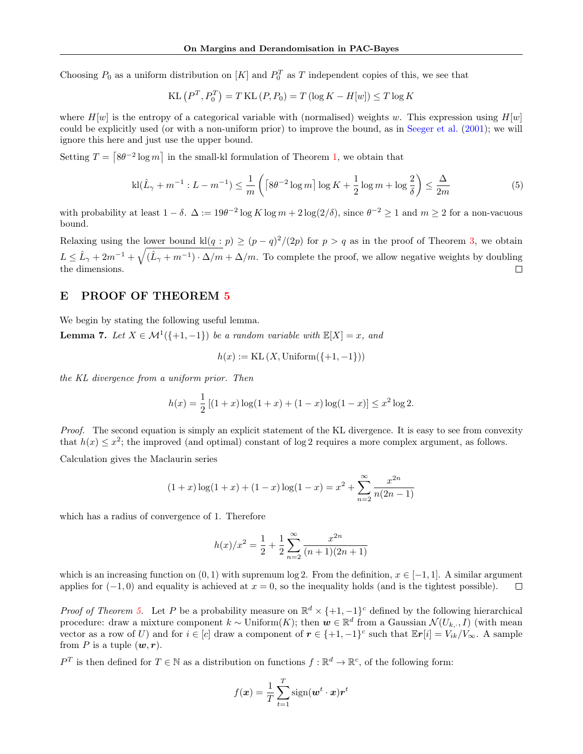Choosing  $P_0$  as a uniform distribution on [K] and  $P_0^T$  as T independent copies of this, we see that

$$
KL(P^T, P_0^T) = T KL(P, P_0) = T (\log K - H[w]) \le T \log K
$$

where  $H[w]$  is the entropy of a categorical variable with (normalised) weights w. This expression using  $H[w]$ could be explicitly used (or with a non-uniform prior) to improve the bound, as in [Seeger et al.](#page-11-13) [\(2001\)](#page-11-13); we will ignore this here and just use the upper bound.

Setting  $T = \lceil 8\theta^{-2} \log m \rceil$  in the small-kl formulation of Theorem [1,](#page-3-2) we obtain that

$$
kl(\hat{L}_{\gamma} + m^{-1} : L - m^{-1}) \le \frac{1}{m} \left( \left[ 8\theta^{-2} \log m \right] \log K + \frac{1}{2} \log m + \log \frac{2}{\delta} \right) \le \frac{\Delta}{2m} \tag{5}
$$

with probability at least  $1 - \delta$ .  $\Delta := 19\theta^{-2} \log K \log m + 2 \log(2/\delta)$ , since  $\theta^{-2} \ge 1$  and  $m \ge 2$  for a non-vacuous bound.

Relaxing using the lower bound  $\text{kl}(q : p) \ge (p - q)^2/(2p)$  for  $p > q$  as in the proof of Theorem [3,](#page-4-2) we obtain  $L \leq \hat{L}_{\gamma} + 2m^{-1} + \sqrt{(\hat{L}_{\gamma} + m^{-1}) \cdot \Delta/m} + \Delta/m$ . To complete the proof, we allow negative weights by doubling the dimensions.  $\Box$ 

## <span id="page-15-0"></span>E PROOF OF THEOREM [5](#page-6-3)

We begin by stating the following useful lemma.

<span id="page-15-1"></span>**Lemma 7.** Let  $X \in \mathcal{M}^1(\{+1, -1\})$  be a random variable with  $\mathbb{E}[X] = x$ , and

$$
h(x) := \text{KL}(X, \text{Uniform}(\{+1, -1\}))
$$

the KL divergence from a uniform prior. Then

$$
h(x) = \frac{1}{2} [(1+x)\log(1+x) + (1-x)\log(1-x)] \le x^2 \log 2.
$$

Proof. The second equation is simply an explicit statement of the KL divergence. It is easy to see from convexity that  $h(x) \leq x^2$ ; the improved (and optimal) constant of log 2 requires a more complex argument, as follows.

Calculation gives the Maclaurin series

$$
(1+x)\log(1+x) + (1-x)\log(1-x) = x^2 + \sum_{n=2}^{\infty} \frac{x^{2n}}{n(2n-1)}
$$

which has a radius of convergence of 1. Therefore

$$
h(x)/x^{2} = \frac{1}{2} + \frac{1}{2} \sum_{n=2}^{\infty} \frac{x^{2n}}{(n+1)(2n+1)}
$$

which is an increasing function on  $(0, 1)$  with supremum log 2. From the definition,  $x \in [-1, 1]$ . A similar argument applies for  $(-1, 0)$  and equality is achieved at  $x = 0$ , so the inequality holds (and is the tightest possible).  $\Box$ 

*Proof of Theorem [5.](#page-6-3)* Let P be a probability measure on  $\mathbb{R}^d \times \{+1, -1\}^c$  defined by the following hierarchical procedure: draw a mixture component  $k \sim \text{Uniform}(K)$ ; then  $w \in \mathbb{R}^d$  from a Gaussian  $\mathcal{N}(U_{k,\cdot}, I)$  (with mean vector as a row of U) and for  $i \in [c]$  draw a component of  $r \in \{+1, -1\}^c$  such that  $\mathbb{E}r[i] = V_{ik}/V_{\infty}$ . A sample from P is a tuple  $(\boldsymbol{w}, \boldsymbol{r})$ .

 $P^T$  is then defined for  $T \in \mathbb{N}$  as a distribution on functions  $f : \mathbb{R}^d \to \mathbb{R}^c$ , of the following form:

$$
f(\boldsymbol{x}) = \frac{1}{T} \sum_{t=1}^{T} \text{sign}(\boldsymbol{w}^t \cdot \boldsymbol{x}) \boldsymbol{r}^t
$$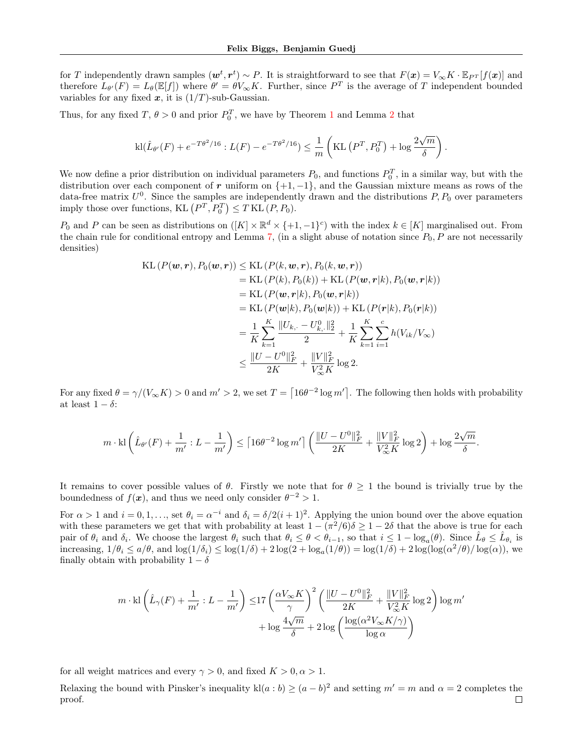for T independently drawn samples  $(\boldsymbol{w}^t, \boldsymbol{r}^t) \sim P$ . It is straightforward to see that  $F(\boldsymbol{x}) = V_{\infty} K \cdot \mathbb{E}_{P^T}[f(\boldsymbol{x})]$  and therefore  $L_{\theta'}(F) = L_{\theta}(\mathbb{E}[f])$  where  $\theta' = \theta V_{\infty} K$ . Further, since  $P^T$  is the average of T independent bounded variables for any fixed  $x$ , it is  $(1/T)$ -sub-Gaussian.

Thus, for any fixed  $T, \theta > 0$  and prior  $P_0^T$ , we have by Theorem [1](#page-3-2) and Lemma [2](#page-3-1) that

$$
kl(\hat{L}_{\theta'}(F) + e^{-T\theta^2/16} : L(F) - e^{-T\theta^2/16}) \leq \frac{1}{m} \left( KL\left(P^T, P_0^T\right) + \log \frac{2\sqrt{m}}{\delta}\right).
$$

We now define a prior distribution on individual parameters  $P_0$ , and functions  $P_0^T$ , in a similar way, but with the distribution over each component of r uniform on  $\{+1, -1\}$ , and the Gaussian mixture means as rows of the data-free matrix  $U^0$ . Since the samples are independently drawn and the distributions  $P, P_0$  over parameters imply those over functions,  $KL(P^T, P_0^T) \leq T KL(P, P_0)$ .

 $P_0$  and P can be seen as distributions on  $([K] \times \mathbb{R}^d \times \{+1,-1\}^c)$  with the index  $k \in [K]$  marginalised out. From the chain rule for conditional entropy and Lemma [7,](#page-15-1) (in a slight abuse of notation since  $P_0$ ,  $P$  are not necessarily densities)

KL 
$$
(P(\mathbf{w}, \mathbf{r}), P_0(\mathbf{w}, \mathbf{r})) \leq \text{KL}(P(k, \mathbf{w}, \mathbf{r}), P_0(k, \mathbf{w}, \mathbf{r}))
$$
  
\n $= \text{KL}(P(k), P_0(k)) + \text{KL}(P(\mathbf{w}, \mathbf{r}|k), P_0(\mathbf{w}, \mathbf{r}|k))$   
\n $= \text{KL}(P(\mathbf{w}, \mathbf{r}|k), P_0(\mathbf{w}, \mathbf{r}|k))$   
\n $= \text{KL}(P(\mathbf{w}|k), P_0(\mathbf{w}|k)) + \text{KL}(P(\mathbf{r}|k), P_0(\mathbf{r}|k))$   
\n $= \frac{1}{K} \sum_{k=1}^{K} \frac{||U_{k, \cdot} - U_{k, \cdot}^0||_2^2}{2} + \frac{1}{K} \sum_{k=1}^{K} \sum_{i=1}^{c} h(V_{ik}/V_{\infty})$   
\n $\leq \frac{||U - U^0||_F^2}{2K} + \frac{||V||_F^2}{V_{\infty}^2 K} \log 2.$ 

For any fixed  $\theta = \gamma/(V_{\infty}K) > 0$  and  $m' > 2$ , we set  $T = \left[16\theta^{-2}\log m'\right]$ . The following then holds with probability at least  $1 - \delta$ :

$$
m \cdot \text{kl} \left( \hat{L}_{\theta'}(F) + \frac{1}{m'}: L - \frac{1}{m'} \right) \leq \left\lceil 16 \theta^{-2} \log m' \right\rceil \left( \frac{\|U - U^0\|_F^2}{2K} + \frac{\|V\|_F^2}{V_\infty^2 K} \log 2 \right) + \log \frac{2 \sqrt{m}}{\delta}.
$$

It remains to cover possible values of  $\theta$ . Firstly we note that for  $\theta \geq 1$  the bound is trivially true by the boundedness of  $f(x)$ , and thus we need only consider  $\theta^{-2} > 1$ .

For  $\alpha > 1$  and  $i = 0, 1, \ldots$ , set  $\theta_i = \alpha^{-i}$  and  $\delta_i = \delta/2(i + 1)^2$ . Applying the union bound over the above equation with these parameters we get that with probability at least  $1 - (\pi^2/6)\delta \geq 1 - 2\delta$  that the above is true for each pair of  $\theta_i$  and  $\delta_i$ . We choose the largest  $\theta_i$  such that  $\theta_i \leq \theta < \theta_{i-1}$ , so that  $i \leq 1 - \log_a(\theta)$ . Since  $\hat{L}_{\theta} \leq \hat{L}_{\theta_i}$  is increasing,  $1/\theta_i \le a/\theta$ , and  $\log(1/\delta_i) \le \log(1/\delta) + 2\log(2 + \log_a(1/\theta)) = \log(1/\delta) + 2\log(\log(\alpha^2/\theta)/\log(\alpha))$ , we finally obtain with probability  $1 - \delta$ 

$$
\begin{split} m\cdot \text{kl} \left(\hat{L}_\gamma (F) + \frac{1}{m'}: L - \frac{1}{m'} \right) \leq & 17 \left(\frac{\alpha V_\infty K}{\gamma}\right)^2 \left(\frac{\|U-U^0\|_F^2}{2K} + \frac{\|V\|_F^2}{V_\infty^2 K} \log 2 \right) \log m' \\ & + \log \frac{4\sqrt{m}}{\delta} + 2 \log \left(\frac{\log (\alpha^2 V_\infty K/\gamma)}{\log \alpha} \right) \end{split}
$$

for all weight matrices and every  $\gamma > 0$ , and fixed  $K > 0, \alpha > 1$ .

Relaxing the bound with Pinsker's inequality  $\text{kl}(a:b) \geq (a-b)^2$  and setting  $m' = m$  and  $\alpha = 2$  completes the proof. $\Box$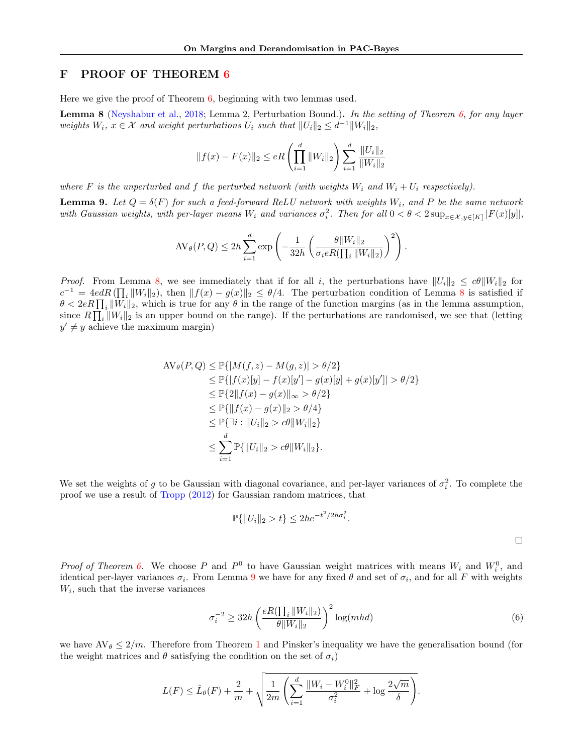# <span id="page-17-0"></span>F PROOF OF THEOREM [6](#page-8-2)

Here we give the proof of Theorem [6,](#page-8-2) beginning with two lemmas used.

<span id="page-17-1"></span>**Lemma 8** [\(Neyshabur et al.,](#page-11-0) [2018;](#page-11-0) Lemma 2, Perturbation Bound.). In the setting of Theorem [6,](#page-8-2) for any layer weights  $W_i$ ,  $x \in \mathcal{X}$  and weight perturbations  $U_i$  such that  $||U_i||_2 \leq d^{-1}||W_i||_2$ ,

$$
||f(x) - F(x)||_2 \le eR\left(\prod_{i=1}^d ||W_i||_2\right) \sum_{i=1}^d \frac{||U_i||_2}{||W_i||_2}
$$

where F is the unperturbed and f the perturbed network (with weights  $W_i$  and  $W_i + U_i$  respectively).

<span id="page-17-2"></span>**Lemma 9.** Let  $Q = \delta(F)$  for such a feed-forward ReLU network with weights  $W_i$ , and P be the same network with Gaussian weights, with per-layer means  $W_i$  and variances  $\sigma_i^2$ . Then for all  $0 < \theta < 2 \sup_{x \in \mathcal{X}, y \in [K]} |F(x)[y]|$ ,

$$
AV_{\theta}(P,Q) \le 2h \sum_{i=1}^{d} \exp \left(-\frac{1}{32h} \left(\frac{\theta \|W_i\|_2}{\sigma_i e R(\prod_i \|W_i\|_2)}\right)^2\right).
$$

*Proof.* From Lemma [8,](#page-17-1) we see immediately that if for all i, the perturbations have  $||U_i||_2 \leq c\theta ||W_i||_2$  for  $c^{-1} = 4edR(\prod_i ||W_i||_2)$ , then  $||f(x) - g(x)||_2 \le \theta/4$ . The perturbation condition of Lemma [8](#page-17-1) is satisfied if  $\theta < 2eR \prod_i ||W_i||_2$ , which is true for any  $\theta$  in the range of the function margins (as in the lemma assumption, since  $R\prod_i ||W_i||_2$  is an upper bound on the range). If the perturbations are randomised, we see that (letting  $y' \neq y$  achieve the maximum margin)

$$
\begin{aligned} \text{AV}_{\theta}(P, Q) &\leq \mathbb{P}\{|M(f, z) - M(g, z)| > \theta/2\} \\ &\leq \mathbb{P}\{|f(x)[y] - f(x)[y'] - g(x)[y] + g(x)[y']| > \theta/2\} \\ &\leq \mathbb{P}\{2\|f(x) - g(x)\|_{\infty} > \theta/2\} \\ &\leq \mathbb{P}\{\|f(x) - g(x)\|_{2} > \theta/4\} \\ &\leq \mathbb{P}\{\exists i : \|U_{i}\|_{2} > c\theta \|W_{i}\|_{2}\} \\ &\leq \sum_{i=1}^{d} \mathbb{P}\{\|U_{i}\|_{2} > c\theta \|W_{i}\|_{2}\}.\end{aligned}
$$

We set the weights of g to be Gaussian with diagonal covariance, and per-layer variances of  $\sigma_i^2$ . To complete the proof we use a result of [Tropp](#page-11-14) [\(2012\)](#page-11-14) for Gaussian random matrices, that

$$
\mathbb{P}\{\|U_i\|_2 > t\} \le 2he^{-t^2/2h\sigma_i^2}.
$$

*Proof of Theorem [6.](#page-8-2)* We choose P and  $P^0$  to have Gaussian weight matrices with means  $W_i$  and  $W_i^0$ , and identical per-layer variances  $\sigma_i$ . From Lemma [9](#page-17-2) we have for any fixed  $\theta$  and set of  $\sigma_i$ , and for all F with weights  $W_i$ , such that the inverse variances

<span id="page-17-3"></span>
$$
\sigma_i^{-2} \ge 32h \left( \frac{eR(\prod_i ||W_i||_2)}{\theta ||W_i||_2} \right)^2 \log(mhd) \tag{6}
$$

we have  $AV_{\theta} \leq 2/m$ . Therefore from Theorem [1](#page-3-2) and Pinsker's inequality we have the generalisation bound (for the weight matrices and  $\theta$  satisfying the condition on the set of  $\sigma_i$ )

$$
L(F) \leq \hat{L}_{\theta}(F) + \frac{2}{m} + \sqrt{\frac{1}{2m} \left( \sum_{i=1}^{d} \frac{\|W_i - W_i^0\|_F^2}{\sigma_i^2} + \log \frac{2\sqrt{m}}{\delta} \right)}.
$$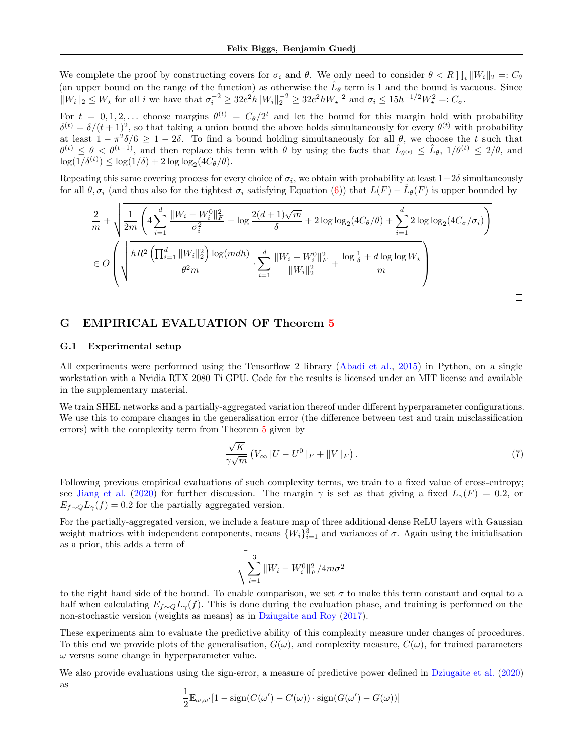We complete the proof by constructing covers for  $\sigma_i$  and  $\theta$ . We only need to consider  $\theta < R \prod_i ||W_i||_2 =: C_{\theta}$ (an upper bound on the range of the function) as otherwise the  $\hat{L}_{\theta}$  term is 1 and the bound is vacuous. Since  $||W_i||_2 \le W_{\star}$  for all i we have that  $\sigma_i^{-2} \ge 32e^2 h ||W_i||_2^{-2} \ge 32e^2 h W_{\star}^{-2}$  and  $\sigma_i \le 15h^{-1/2}W_{\star}^2 =: C_{\sigma}$ .

For  $t = 0, 1, 2, \ldots$  choose margins  $\theta^{(t)} = C_{\theta}/2^t$  and let the bound for this margin hold with probability  $\delta^{(t)} = \delta/(t+1)^2$ , so that taking a union bound the above holds simultaneously for every  $\theta^{(t)}$  with probability at least  $1 - \pi^2 \delta / 6 \ge 1 - 2\delta$ . To find a bound holding simultaneously for all  $\theta$ , we choose the t such that  $\theta^{(t)} \leq \theta < \theta^{(t-1)}$ , and then replace this term with  $\theta$  by using the facts that  $\hat{L}_{\theta^{(t)}} \leq \hat{L}_{\theta}$ ,  $1/\theta^{(t)} \leq 2/\theta$ , and  $\log(1/\delta^{(t)}) \leq \log(1/\delta) + 2 \log \log_2(4C_\theta/\theta).$ 

Repeating this same covering process for every choice of  $\sigma_i$ , we obtain with probability at least  $1-2\delta$  simultaneously for all  $\theta, \sigma_i$  (and thus also for the tightest  $\sigma_i$  satisfying Equation [\(6\)](#page-17-3)) that  $L(F) - \hat{L}_{\theta}(F)$  is upper bounded by

$$
\frac{2}{m} + \sqrt{\frac{1}{2m} \left( 4 \sum_{i=1}^{d} \frac{||W_i - W_i^0||_F^2}{\sigma_i^2} + \log \frac{2(d+1)\sqrt{m}}{\delta} + 2 \log \log_2(4C_{\theta}/\theta) + \sum_{i=1}^{d} 2 \log \log_2(4C_{\sigma}/\sigma_i) \right)}
$$
  

$$
\in O\left( \sqrt{\frac{hR^2 \left( \prod_{i=1}^{d} ||W_i||_2^2 \right) \log(mdh)}{\theta^2 m} \cdot \sum_{i=1}^{d} \frac{||W_i - W_i^0||_F^2}{||W_i||_2^2} + \frac{\log \frac{1}{\delta} + d \log \log W_{\star}}{m} \right)
$$

### <span id="page-18-0"></span>G EMPIRICAL EVALUATION OF Theorem [5](#page-6-3)

#### G.1 Experimental setup

All experiments were performed using the Tensorflow 2 library [\(Abadi et al.,](#page-9-12) [2015\)](#page-9-12) in Python, on a single workstation with a Nvidia RTX 2080 Ti GPU. Code for the results is licensed under an MIT license and available in the supplementary material.

We train SHEL networks and a partially-aggregated variation thereof under different hyperparameter configurations. We use this to compare changes in the generalisation error (the difference between test and train misclassification errors) with the complexity term from Theorem [5](#page-6-3) given by

$$
\frac{\sqrt{K}}{\gamma\sqrt{m}}\left(V_{\infty}||U - U^0||_F + ||V||_F\right).
$$
\n(7)

 $\Box$ 

Following previous empirical evaluations of such complexity terms, we train to a fixed value of cross-entropy; see [Jiang et al.](#page-10-10) [\(2020\)](#page-10-10) for further discussion. The margin  $\gamma$  is set as that giving a fixed  $L_{\gamma}(F) = 0.2$ , or  $E_{f\sim Q}L_{\gamma}(f) = 0.2$  for the partially aggregated version.

For the partially-aggregated version, we include a feature map of three additional dense ReLU layers with Gaussian weight matrices with independent components, means  $\{W_i\}_{i=1}^3$  and variances of  $\sigma$ . Again using the initialisation as a prior, this adds a term of

$$
\sqrt{\sum_{i=1}^{3} \|W_i - W_i^0\|_F^2 / 4m\sigma^2}
$$

to the right hand side of the bound. To enable comparison, we set  $\sigma$  to make this term constant and equal to a half when calculating  $E_{f\sim Q}L_{\gamma}(f)$ . This is done during the evaluation phase, and training is performed on the non-stochastic version (weights as means) as in [Dziugaite and Roy](#page-9-0) [\(2017\)](#page-9-0).

These experiments aim to evaluate the predictive ability of this complexity measure under changes of procedures. To this end we provide plots of the generalisation,  $G(\omega)$ , and complexity measure,  $C(\omega)$ , for trained parameters  $\omega$  versus some change in hyperparameter value.

We also provide evaluations using the sign-error, a measure of predictive power defined in [Dziugaite et al.](#page-10-11) [\(2020\)](#page-10-11) as

$$
\frac{1}{2} \mathbb{E}_{\omega,\omega'}[1 - \text{sign}(C(\omega') - C(\omega)) \cdot \text{sign}(G(\omega') - G(\omega))]
$$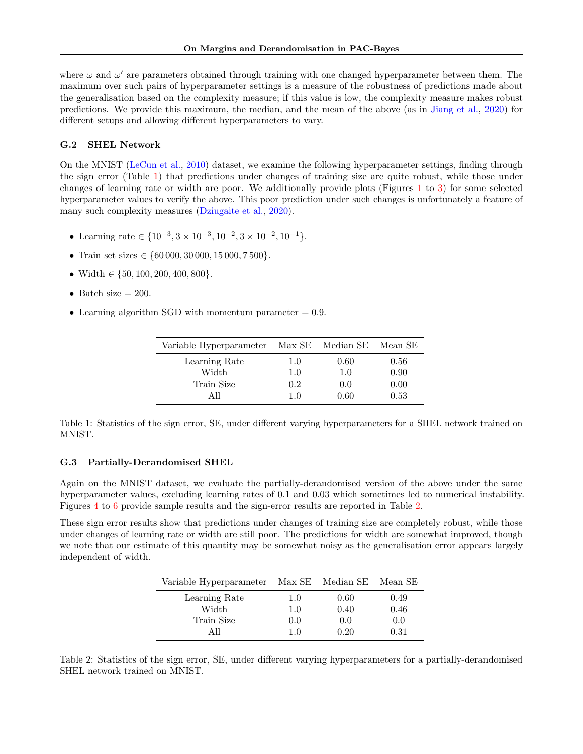where  $\omega$  and  $\omega'$  are parameters obtained through training with one changed hyperparameter between them. The maximum over such pairs of hyperparameter settings is a measure of the robustness of predictions made about the generalisation based on the complexity measure; if this value is low, the complexity measure makes robust predictions. We provide this maximum, the median, and the mean of the above (as in [Jiang et al.,](#page-10-10) [2020\)](#page-10-10) for different setups and allowing different hyperparameters to vary.

### G.2 SHEL Network

On the MNIST [\(LeCun et al.,](#page-10-14) [2010\)](#page-10-14) dataset, we examine the following hyperparameter settings, finding through the sign error (Table [1\)](#page-19-0) that predictions under changes of training size are quite robust, while those under changes of learning rate or width are poor. We additionally provide plots (Figures [1](#page-20-0) to [3\)](#page-21-0) for some selected hyperparameter values to verify the above. This poor prediction under such changes is unfortunately a feature of many such complexity measures [\(Dziugaite et al.,](#page-10-11) [2020\)](#page-10-11).

- Learning rate  $\in \{10^{-3}, 3 \times 10^{-3}, 10^{-2}, 3 \times 10^{-2}, 10^{-1}\}.$
- Train set sizes  $\in \{60\,000, 30\,000, 15\,000, 7\,500\}.$
- Width  $\in \{50, 100, 200, 400, 800\}.$
- Batch size  $= 200$ .
- Learning algorithm SGD with momentum parameter  $= 0.9$ .

| Variable Hyperparameter |     | Max SE Median SE Mean SE |      |
|-------------------------|-----|--------------------------|------|
| Learning Rate           | 1.0 | 0.60                     | 0.56 |
| Width                   | 1.0 | 1.0                      | 0.90 |
| Train Size              | 0.2 | 0.0                      | 0.00 |
| All                     | 10  | 0.60                     | 0.53 |

<span id="page-19-0"></span>Table 1: Statistics of the sign error, SE, under different varying hyperparameters for a SHEL network trained on MNIST.

#### G.3 Partially-Derandomised SHEL

Again on the MNIST dataset, we evaluate the partially-derandomised version of the above under the same hyperparameter values, excluding learning rates of 0.1 and 0.03 which sometimes led to numerical instability. Figures [4](#page-21-1) to [6](#page-22-0) provide sample results and the sign-error results are reported in Table [2.](#page-19-1)

These sign error results show that predictions under changes of training size are completely robust, while those under changes of learning rate or width are still poor. The predictions for width are somewhat improved, though we note that our estimate of this quantity may be somewhat noisy as the generalisation error appears largely independent of width.

| Variable Hyperparameter Max SE Median SE Mean SE |     |      |      |
|--------------------------------------------------|-----|------|------|
| Learning Rate                                    | 1.0 | 0.60 | 0.49 |
| Width                                            | 1.0 | 0.40 | 0.46 |
| Train Size                                       | 0.0 | 0.0  | 0.0  |
| AIL                                              | 1.0 | 0.20 | 0.31 |

<span id="page-19-1"></span>Table 2: Statistics of the sign error, SE, under different varying hyperparameters for a partially-derandomised SHEL network trained on MNIST.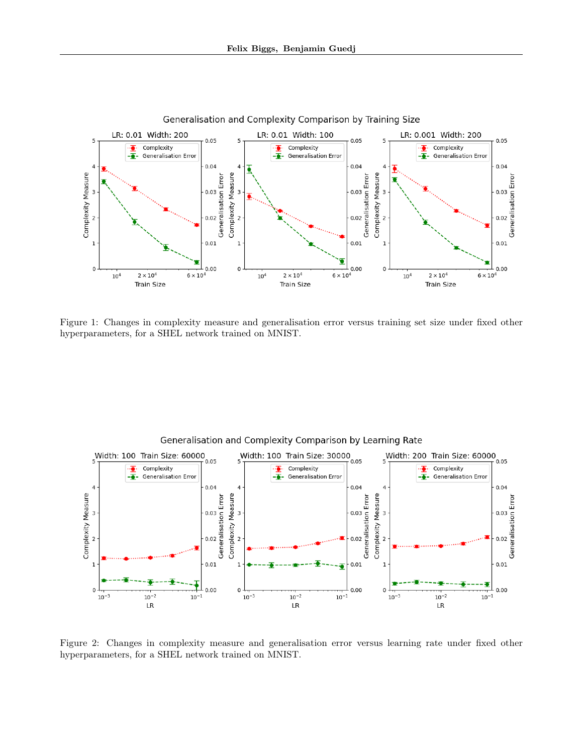

<span id="page-20-0"></span>Figure 1: Changes in complexity measure and generalisation error versus training set size under fixed other hyperparameters, for a SHEL network trained on MNIST.



Figure 2: Changes in complexity measure and generalisation error versus learning rate under fixed other hyperparameters, for a SHEL network trained on MNIST.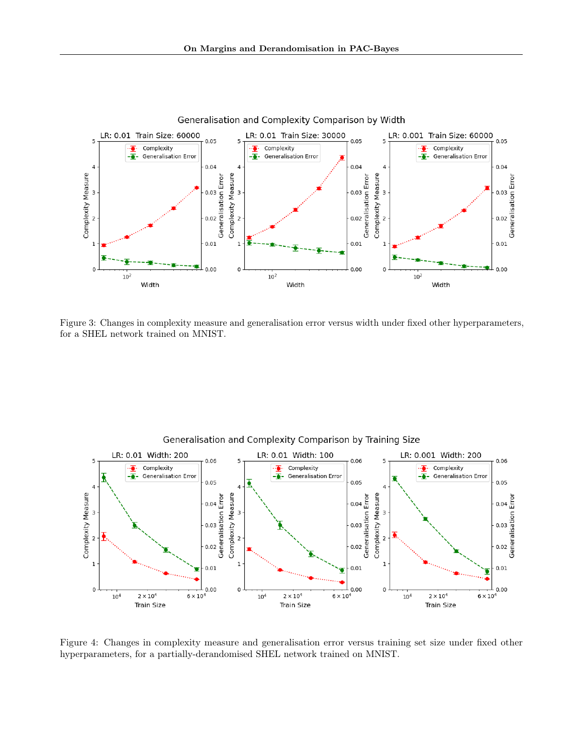

<span id="page-21-0"></span>Figure 3: Changes in complexity measure and generalisation error versus width under fixed other hyperparameters, for a SHEL network trained on MNIST.



<span id="page-21-1"></span>Figure 4: Changes in complexity measure and generalisation error versus training set size under fixed other hyperparameters, for a partially-derandomised SHEL network trained on MNIST.